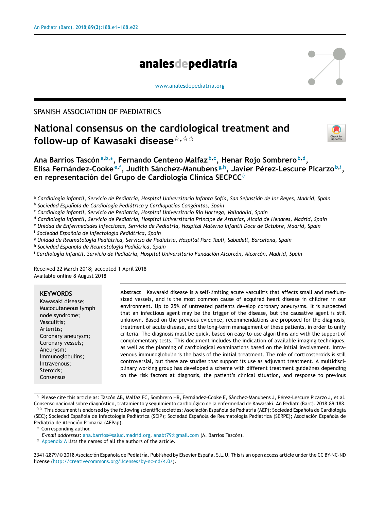# analesdepediatría



[www.analesdepediatria.org](http://www.analesdepediatria.org)

# SPANISH ASSOCIATION OF PAEDIATRICS

# **National consensus on the cardiological treatment and**  $f$ ollow-up of Kawasaki disease $^{\nless,\nless\infty}$



# **Ana Barrios Tascón<sup>a</sup>**,**b**,<sup>∗</sup> **, Fernando Centeno Malfaz <sup>b</sup>**,**<sup>c</sup> , Henar Rojo Sombrero <sup>b</sup>**,**<sup>d</sup> , Elisa Fernández-Cooke<sup>e</sup>**,**<sup>f</sup> , Judith Sánchez-Manubens <sup>g</sup>**,**<sup>h</sup> , Javier Pérez-Lescure Picarzo <sup>b</sup>**,**<sup>i</sup> , en representación del Grupo de Cardiología Clínica SECPCC**♦

- b *Sociedad Espanola ˜ de Cardiología Pediátrica y Cardiopatías Congénitas, Spain*
- <sup>c</sup> *Cardiología infantil, Servicio de Pediatría, Hospital Universitario Río Hortega, Valladolid, Spain*
- <sup>d</sup> Cardiología infantil, Servicio de Pediatría, Hospital Universitario Príncipe de Asturias, Alcalá de Henares, Madrid, Spain
- <sup>e</sup> *Unidad de Enfermedades Infecciosas, Servicio de Pediatría, Hospital Materno Infantil Doce de Octubre, Madrid, Spain*
- f *Sociedad Espanola ˜ de Infectología Pediátrica, Spain*
- <sup>g</sup> *Unidad de Reumatología Pediátrica, Servicio de Pediatría, Hospital Parc Taulí, Sabadell, Barcelona, Spain*
- h *Sociedad Espanola ˜ de Reumatología Pediátrica, Spain*
- <sup>i</sup> *Cardiología infantil, Servicio de Pediatría, Hospital Universitario Fundación Alcorcón, Alcorcón, Madrid, Spain*

Received 22 March 2018; accepted 1 April 2018 Available online 8 August 2018

## **KEYWORDS**

Kawasaki disease; Mucocutaneous lymph node syndrome; Vasculitis; Arteritis; Coronary aneurysm; Coronary vessels; Aneurysm; Immunoglobulins; Intravenous; Steroids; Consensus

**Abstract** Kawasaki disease is a self-limiting acute vasculitis that affects small and mediumsized vessels, and is the most common cause of acquired heart disease in children in our environment. Up to 25% of untreated patients develop coronary aneurysms. It is suspected that an infectious agent may be the trigger of the disease, but the causative agent is still unknown. Based on the previous evidence, recommendations are proposed for the diagnosis, treatment of acute disease, and the long-term management of these patients, in order to unify criteria. The diagnosis must be quick, based on easy-to-use algorithms and with the support of complementary tests. This document includes the indication of available imaging techniques, as well as the planning of cardiological examinations based on the initial involvement. Intravenous immunoglobulin is the basis of the initial treatment. The role of corticosteroids is still controversial, but there are studies that support its use as adjuvant treatment. A multidisciplinary working group has developed a scheme with different treatment guidelines depending on the risk factors at diagnosis, the patient's clinical situation, and response to previous

Corresponding author.

<sup>&</sup>lt;sup>a</sup> Cardiología infantil, Servicio de Pediatría, Hospital Universitario Infanta Sofía, San Sebastián de los Reyes, Madrid, Spain

<sup>-</sup> Please cite this article as: Tascón AB, Malfaz FC, Sombrero HR, Fernández-Cooke E, Sánchez-Manubens J, Pérez-Lescure Picarzo J, et al. Consenso nacional sobre diagnóstico, tratamiento y seguimiento cardiológico de la enfermedad de Kawasaki. An Pediatr (Barc). 2018;89:188. \*\* This document is endorsed by the following scientific societies: Asociación Española de Pediatría (AEP); Sociedad Española de Cardiología (SEC); Sociedad Española de Infectología Pediátrica (SEIP); Sociedad Española de Reumatología Pediátrica (SERPE); Asociación Española de Pediatría de Atención Primaria (AEPap).

*E-mail addresses:* [ana.barrios@salud.madrid.org](mailto:ana.barrios@salud.madrid.org), [anabt79@gmail.com](mailto:anabt79@gmail.com) (A. Barrios Tascón).

 $\Diamond$  [Appendix](#page-18-0) [A](#page-18-0) lists the names of all the authors of the article.

<sup>2341-2879/© 2018</sup> Asociación Española de Pediatría. Published by Elsevier España, S.L.U. This is an open access article under the CC BY-NC-ND license (<http://creativecommons.org/licenses/by-nc-nd/4.0/>).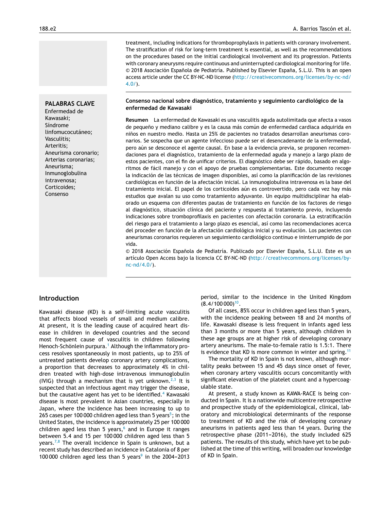# **PALABRAS CLAVE**

Enfermedad de Kawasaki; Síndrome linfomucocutáneo; Vasculitis; Arteritis; Aneurisma coronario; Arterias coronarias; Aneurisma; Inmunoglobulina intravenosa; Corticoides; Consenso

treatment, including indications for thromboprophylaxis in patients with coronary involvement. The stratification of risk for long-term treatment is essential, as well as the recommendations on the procedures based on the initial cardiological involvement and its progression. Patients with coronary aneurysms require continuous and uninterrupted cardiological monitoring for life. © 2018 Asociación Española de Pediatría. Published by Elsevier España, S.L.U. This is an open access article under the CC BY-NC-ND license [\(http://creativecommons.org/licenses/by-nc-nd/](http://creativecommons.org/licenses/by-nc-nd/4.0/) [4.0/\)](http://creativecommons.org/licenses/by-nc-nd/4.0/).

#### **Consenso nacional sobre diagnóstico, tratamiento y seguimiento cardiológico de la enfermedad de Kawasaki**

**Resumen** La enfermedad de Kawasaki es una vasculitis aguda autolimitada que afecta a vasos de pequeño y mediano calibre y es la causa más común de enfermedad cardiaca adquirida en niños en nuestro medio. Hasta un 25% de pacientes no tratados desarrollan aneurismas coronarios. Se sospecha que un agente infeccioso puede ser el desencadenante de la enfermedad, pero aún se desconoce el agente causal. En base a la evidencia previa, se proponen recomendaciones para el diagnóstico, tratamiento de la enfermedad aguda y manejo a largo plazo de estos pacientes, con el fin de unificar criterios. El diagnóstico debe ser rápido, basado en algoritmos de fácil manejo y con el apoyo de pruebas complementarias. Este documento recoge la indicación de las técnicas de imagen disponibles, así como la planificación de las revisiones cardiológicas en función de la afectación inicial. La inmunoglobulina intravenosa es la base del tratamiento inicial. El papel de los corticoides aún es controvertido, pero cada vez hay más estudios que avalan su uso como tratamiento adyuvante. Un equipo multidisciplinar ha elaborado un esquema con diferentes pautas de tratamiento en función de los factores de riesgo al diagnóstico, situación clínica del paciente y respuesta al tratamiento previo, incluyendo indicaciones sobre tromboprofilaxis en pacientes con afectación coronaria. La estratificación del riesgo para el tratamiento a largo plazo es esencial, así como las recomendaciones acerca del proceder en función de la afectación cardiológica inicial y su evolución. Los pacientes con aneurismas coronarios requieren un seguimiento cardiológico continuo e ininterrumpido de por vida.

© 2018 Asociación Española de Pediatría. Publicado por Elsevier España, S.L.U. Este es un artículo Open Access bajo la licencia CC BY-NC-ND ([http://creativecommons.org/licenses/by](http://creativecommons.org/licenses/by-nc-nd/4.0/)[nc-nd/4.0/\)](http://creativecommons.org/licenses/by-nc-nd/4.0/).

## **Introduction**

Kawasaki disease (KD) is a self-limiting acute vasculitis that affects blood vessels of small and medium calibre. At present, it is the leading cause of acquired heart disease in children in developed countries and the second most frequent cause of vasculitis in children following Henoch-Schönlein purpura.<sup>1</sup> [A](#page-20-0)lthough the inflammatory process resolves spontaneously in most patients, up to 25% of untreated patients develop coronary artery complications, a proportion that decreases to approximately 4% in children treated with high-dose intravenous immunoglobulin (IVIG) through a mechanism that is yet unknown.<sup>[2,3](#page-20-0)</sup> It is suspected that an infectious agent may trigger the disease, but the causative agent has yet to be identified.<sup>[4](#page-20-0)</sup> Kawasaki disease is most prevalent in Asian countries, especially in Japan, where the incidence has been increasing to up to 265 cases per 100 000 children aged less than 5 years<sup>5</sup>[;](#page-20-0) in the United States, the incidence is approximately 25 per 100 000 children aged less than 5 years, $6$  and in Europe it ranges between 5.4 and 15 per 100 000 children aged less than 5 years.<sup>[7,8](#page-20-0)</sup> The overall incidence in Spain is unknown, but a recent study has described an incidence in Catalonia of 8 per 100000 children aged less than 5 years<sup>[9](#page-20-0)</sup> in the 2004-2013

period, similar to the incidence in the United Kingdom  $(8.4/100000)^{10}$  $(8.4/100000)^{10}$  $(8.4/100000)^{10}$ .

Of all cases, 85% occur in children aged less than 5 years, with the incidence peaking between 18 and 24 months of life. Kawasaki disease is less frequent in infants aged less than 3 months or more than 5 years, although children in these age groups are at higher risk of developing coronary artery aneurisms. The male-to-female ratio is 1.5:1. There is evidence that KD is more common in winter and spring.<sup>[11](#page-20-0)</sup>

The mortality of KD in Spain is not known, although mortality peaks between 15 and 45 days since onset of fever, when coronary artery vasculitis occurs concomitantly with significant elevation of the platelet count and a hypercoagulable state.

At present, a study known as KAWA-RACE is being conducted in Spain. It is a nationwide multicentre retrospective and prospective study of the epidemiological, clinical, laboratory and microbiological determinants of the response to treatment of KD and the risk of developing coronary aneurisms in patients aged less than 14 years. During the retrospective phase (2011-2016), the study included 625 patients. The results of this study, which have yet to be published at the time of this writing, will broaden our knowledge of KD in Spain.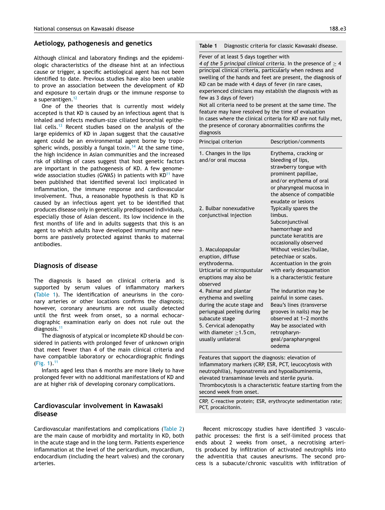## **Aetiology, pathogenesis and genetics**

Although clinical and laboratory findings and the epidemiologic characteristics of the disease hint at an infectious cause or trigger, a specific aetiological agent has not been identified to date. Previous studies have also been unable to prove an association between the development of KD and exposure to certain drugs or the immune response to a superantigen.<sup>[12](#page-20-0)</sup>

One of the theories that is currently most widely accepted is that KD is caused by an infectious agent that is inhaled and infects medium-size ciliated bronchial epithe-lial cells.<sup>[13](#page-20-0)</sup> Recent studies based on the analysis of the large epidemics of KD in Japan suggest that the causative agent could be an environmental agent borne by tropo-spheric winds, possibly a fungal toxin.<sup>[14](#page-20-0)</sup> At the same time, the high incidence in Asian communities and the increased risk of siblings of cases suggest that host genetic factors are important in the pathogenesis of KD. A few genomewide association studies (GWAS) in patients with  $KD^{11}$  $KD^{11}$  $KD^{11}$  have been published that identified several loci implicated in inflammation, the immune response and cardiovascular involvement. Thus, a reasonable hypothesis is that KD is caused by an infectious agent yet to be identified that produces disease only in genetically predisposed individuals, especially those of Asian descent. Its low incidence in the first months of life and in adults suggests that this is an agent to which adults have developed immunity and newborns are passively protected against thanks to maternal antibodies.

## **Diagnosis of disease**

The diagnosis is based on clinical criteria and is supported by serum values of inflammatory markers (Table 1). The identification of aneurisms in the coronary arteries or other locations confirms the diagnosis; however, coronary aneurisms are not usually detected until the first week from onset, so a normal echocardiographic examination early on does not rule out the diagnosis.[11](#page-20-0)

The diagnosis of atypical or incomplete KD should be considered in patients with prolonged fever of unknown origin that meet fewer than 4 of the main clinical criteria and have compatible laboratory or echocardiographic findings ([Fig.](#page-3-0)  $1$ ).<sup>[11](#page-20-0)</sup>

Infants aged less than 6 months are more likely to have prolonged fever with no additional manifestations of KD and are at higher risk of developing coronary complications.

# **Cardiovascular involvement in Kawasaki disease**

Cardiovascular manifestations and complications ([Table](#page-4-0) 2) are the main cause of morbidity and mortality in KD, both in the acute stage and in the long term. Patients experience inflammation at the level of the pericardium, myocardium, endocardium (including the heart valves) and the coronary arteries.

**Table 1** Diagnostic criteria for classic Kawasaki disease.

Fever of at least 5 days together with

*4 of the 5 principal clinical criteria*. In the presence of ≥ 4 principal clinical criteria, particularly when redness and swelling of the hands and feet are present, the diagnosis of KD can be made with 4 days of fever (in rare cases, experienced clinicians may establish the diagnosis with as few as 3 days of fever)

Not all criteria need to be present at the same time. The feature may have resolved by the time of evaluation In cases where the clinical criteria for KD are not fully met, the presence of coronary abnormalities confirms the diagnosis

| Principal criterion          | Description/comments          |
|------------------------------|-------------------------------|
| 1. Changes in the lips       | Erythema, cracking or         |
| and/or oral mucosa           | bleeding of lips,             |
|                              | strawberry tongue with        |
|                              | prominent papillae,           |
|                              | and/or erythema of oral       |
|                              | or pharyngeal mucosa in       |
|                              | the absence of compatible     |
|                              | exudate or lesions            |
| 2. Bulbar nonexudative       | Typically spares the          |
| conjunctival injection       | limbus.                       |
|                              | Subconjunctival               |
|                              | haemorrhage and               |
|                              | punctate keratitis are        |
|                              | occasionally observed         |
| 3. Maculopapular             | Without vesicles/bullae,      |
| eruption, diffuse            | petechiae or scabs.           |
| erythroderma.                | Accentuation in the groin     |
| Urticarial or micropustular  | with early desquamation       |
| eruptions may also be        | is a characteristic feature   |
| observed                     |                               |
| 4. Palmar and plantar        | The induration may be         |
| erythema and swelling        | painful in some cases.        |
| during the acute stage and   | Beau's lines (transverse      |
| periungual peeling during    | grooves in nails) may be      |
| subacute stage               | observed at 1-2 months        |
| 5. Cervical adenopathy       | May be associated with        |
| with diameter $\geq$ 1.5 cm, | retropharyn-                  |
| usually unilateral           | geal/parapharyngeal<br>oedema |
|                              |                               |

Features that support the diagnosis: elevation of inflammatory markers (CRP, ESR, PCT, leucocytosis with neutrophilia), hyponatremia and hypoalbuminemia, elevated transaminase levels and sterile pyuria. Thrombocytosis is a characteristic feature starting from the second week from onset.

CRP, C-reactive protein; ESR, erythrocyte sedimentation rate; PCT, procalcitonin.

Recent microscopy studies have identified 3 vasculopathic processes: the first is a self-limited process that ends about 2 weeks from onset, a necrotising arteritis produced by infiltration of activated neutrophils into the adventitia that causes aneurisms. The second process is a subacute/chronic vasculitis with infiltration of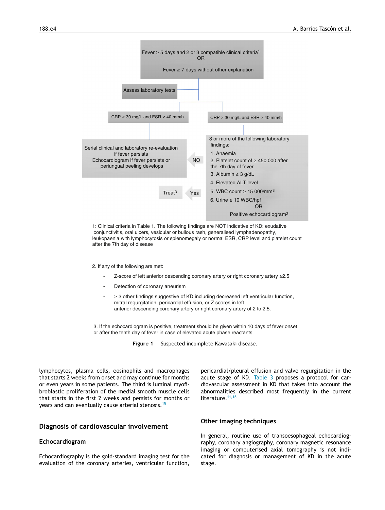<span id="page-3-0"></span>

1: Clinical criteria in Table 1. The following findings are NOT indicative of KD: exudative conjunctivitis, oral ulcers, vesicular or bullous rash, generalised lymphadenopathy, leukopaenia with lymphocytosis or splenomegaly or normal ESR, CRP level and platelet count after the 7th day of disease

2. If any of the following are met:

- Z-score of left anterior descending coronary artery or right coronary artery ≥2.5
- Detection of coronary aneurism
- ≥ 3 other findings suggestive of KD including decreased left ventricular function, mitral regurgitation, pericardial effusion, or Z scores in left anterior descending coronary artery or right coronary artery of 2 to 2.5.

3. If the echocardiogram is positive, treatment should be given within 10 days of fever onset or after the tenth day of fever in case of elevated acute phase reactants

**Figure 1** Suspected incomplete Kawasaki disease.

lymphocytes, plasma cells, eosinophils and macrophages that starts 2 weeks from onset and may continue for months or even years in some patients. The third is luminal myofibroblastic proliferation of the medial smooth muscle cells that starts in the first 2 weeks and persists for months or years and can eventually cause arterial stenosis.<sup>[15](#page-20-0)</sup>

## **Diagnosis of cardiovascular involvement**

#### **Echocardiogram**

Echocardiography is the gold-standard imaging test for the evaluation of the coronary arteries, ventricular function, pericardial/pleural effusion and valve regurgitation in the acute stage of KD. [Table](#page-5-0) 3 proposes a protocol for cardiovascular assessment in KD that takes into account the abnormalities described most frequently in the current literature.<sup>[11,16](#page-20-0)</sup>

## **Other imaging techniques**

In general, routine use of transoesophageal echocardiography, coronary angiography, coronary magnetic resonance imaging or computerised axial tomography is not indicated for diagnosis or management of KD in the acute stage.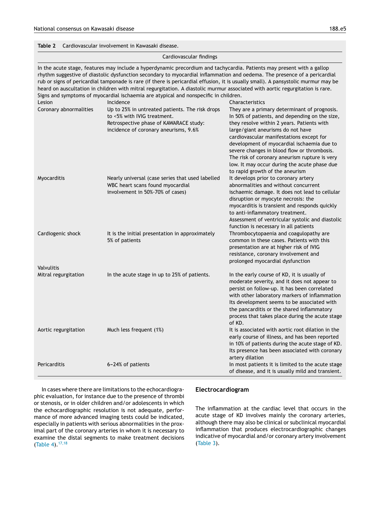#### <span id="page-4-0"></span>**Table 2** Cardiovascular involvement in Kawasaki disease.

|                                    | Cardiovascular findings                                                                                                                                                                                                                                                                                                                                                                                                                                                                                                                                                                                            |                                                                                                                                                                                                                                                                                                                                                                                                                                                                                   |
|------------------------------------|--------------------------------------------------------------------------------------------------------------------------------------------------------------------------------------------------------------------------------------------------------------------------------------------------------------------------------------------------------------------------------------------------------------------------------------------------------------------------------------------------------------------------------------------------------------------------------------------------------------------|-----------------------------------------------------------------------------------------------------------------------------------------------------------------------------------------------------------------------------------------------------------------------------------------------------------------------------------------------------------------------------------------------------------------------------------------------------------------------------------|
|                                    | In the acute stage, features may include a hyperdynamic precordium and tachycardia. Patients may present with a gallop<br>rhythm suggestive of diastolic dysfunction secondary to myocardial inflammation and oedema. The presence of a pericardial<br>rub or signs of pericardial tamponade is rare (if there is pericardial effusion, it is usually small). A pansystolic murmur may be<br>heard on auscultation in children with mitral regurgitation. A diastolic murmur associated with aortic regurgitation is rare.<br>Signs and symptoms of myocardial ischaemia are atypical and nonspecific in children. |                                                                                                                                                                                                                                                                                                                                                                                                                                                                                   |
| Lesion<br>Coronary abnormalities   | Incidence<br>Up to 25% in untreated patients. The risk drops<br>to <5% with IVIG treatment.<br>Retrospective phase of KAWARACE study:<br>incidence of coronary aneurisms, 9.6%                                                                                                                                                                                                                                                                                                                                                                                                                                     | Characteristics<br>They are a primary determinant of prognosis.<br>In 50% of patients, and depending on the size,<br>they resolve within 2 years. Patients with<br>large/giant aneurisms do not have<br>cardiovascular manifestations except for<br>development of myocardial ischaemia due to<br>severe changes in blood flow or thrombosis.<br>The risk of coronary aneurism rupture is very<br>low. It may occur during the acute phase due<br>to rapid growth of the aneurism |
| Myocarditis                        | Nearly universal (case series that used labelled<br>WBC heart scans found myocardial<br>involvement in 50%-70% of cases)                                                                                                                                                                                                                                                                                                                                                                                                                                                                                           | It develops prior to coronary artery<br>abnormalities and without concurrent<br>ischaemic damage. It does not lead to cellular<br>disruption or myocyte necrosis: the<br>myocarditis is transient and responds quickly<br>to anti-inflammatory treatment.<br>Assessment of ventricular systolic and diastolic<br>function is necessary in all patients                                                                                                                            |
| Cardiogenic shock                  | It is the initial presentation in approximately<br>5% of patients                                                                                                                                                                                                                                                                                                                                                                                                                                                                                                                                                  | Thrombocytopaenia and coagulopathy are<br>common in these cases. Patients with this<br>presentation are at higher risk of IVIG<br>resistance, coronary involvement and<br>prolonged myocardial dysfunction                                                                                                                                                                                                                                                                        |
| Valvulitis<br>Mitral regurgitation | In the acute stage in up to 25% of patients.                                                                                                                                                                                                                                                                                                                                                                                                                                                                                                                                                                       | In the early course of KD, it is usually of<br>moderate severity, and it does not appear to<br>persist on follow-up. It has been correlated<br>with other laboratory markers of inflammation<br>Its development seems to be associated with<br>the pancarditis or the shared inflammatory<br>process that takes place during the acute stage<br>of KD.                                                                                                                            |
| Aortic regurgitation               | Much less frequent (1%)                                                                                                                                                                                                                                                                                                                                                                                                                                                                                                                                                                                            | It is associated with aortic root dilation in the<br>early course of illness, and has been reported<br>in 10% of patients during the acute stage of KD.<br>Its presence has been associated with coronary<br>artery dilation                                                                                                                                                                                                                                                      |
| Pericarditis                       | 6-24% of patients                                                                                                                                                                                                                                                                                                                                                                                                                                                                                                                                                                                                  | In most patients it is limited to the acute stage<br>of disease, and it is usually mild and transient.                                                                                                                                                                                                                                                                                                                                                                            |

In cases where there are limitations to the echocardiographic evaluation, for instance due to the presence of thrombi or stenosis, or in older children and/or adolescents in which the echocardiographic resolution is not adequate, performance of more advanced imaging tests could be indicated, especially in patients with serious abnormalities in the proximal part of the coronary arteries in whom it is necessary to examine the distal segments to make treatment decisions ([Table](#page-7-0) 4).[17,18](#page-20-0)

## **Electrocardiogram**

The inflammation at the cardiac level that occurs in the acute stage of KD involves mainly the coronary arteries, although there may also be clinical or subclinical myocardial inflammation that produces electrocardiographic changes indicative of myocardial and/or coronary artery involvement ([Table](#page-5-0) 3).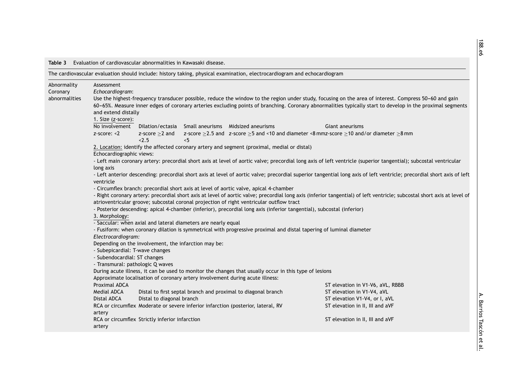<span id="page-5-0"></span>**Table 3** Evaluation of cardiovascular abnormalities in Kawasaki disease.

The cardiovascular evaluation should include: history taking, physical examination, electrocardiogram and echocardiogram

| Abnormality<br>Coronary<br>abnormalities | Assessment<br>Echocardiogram:<br>Use the highest-frequency transducer possible, reduce the window to the region under study, focusing on the area of interest. Compress 50-60 and gain<br>60-65%. Measure inner edges of coronary arteries excluding points of branching. Coronary abnormalities typically start to develop in the proximal segments<br>and extend distally |                                                               |     |                                                                                                                                                                                                                                                                                                            |                                                                                                                                                                         |  |
|------------------------------------------|-----------------------------------------------------------------------------------------------------------------------------------------------------------------------------------------------------------------------------------------------------------------------------------------------------------------------------------------------------------------------------|---------------------------------------------------------------|-----|------------------------------------------------------------------------------------------------------------------------------------------------------------------------------------------------------------------------------------------------------------------------------------------------------------|-------------------------------------------------------------------------------------------------------------------------------------------------------------------------|--|
|                                          | 1. Size (z-score):                                                                                                                                                                                                                                                                                                                                                          |                                                               |     |                                                                                                                                                                                                                                                                                                            |                                                                                                                                                                         |  |
|                                          | No involvement<br>$z$ -score: $<$ 2                                                                                                                                                                                                                                                                                                                                         | z-score $\geq$ and<br>< 2.5                                   | < 5 | Dilation/ectasia Small aneurisms Midsized aneurisms                                                                                                                                                                                                                                                        | Giant aneurisms<br>z-score $\geq$ 2.5 and z-score $\geq$ 5 and <10 and diameter <8 mmz-score $\geq$ 10 and/or diameter $\geq$ 8 mm                                      |  |
|                                          |                                                                                                                                                                                                                                                                                                                                                                             |                                                               |     | 2. Location: identify the affected coronary artery and segment (proximal, medial or distal)                                                                                                                                                                                                                |                                                                                                                                                                         |  |
|                                          | Echocardiographic views:                                                                                                                                                                                                                                                                                                                                                    |                                                               |     |                                                                                                                                                                                                                                                                                                            |                                                                                                                                                                         |  |
|                                          | long axis                                                                                                                                                                                                                                                                                                                                                                   |                                                               |     |                                                                                                                                                                                                                                                                                                            | - Left main coronary artery: precordial short axis at level of aortic valve; precordial long axis of left ventricle (superior tangential); subcostal ventricular        |  |
|                                          | ventricle                                                                                                                                                                                                                                                                                                                                                                   |                                                               |     |                                                                                                                                                                                                                                                                                                            | - Left anterior descending: precordial short axis at level of aortic valve; precordial superior tangential long axis of left ventricle; precordial short axis of left   |  |
|                                          | 3. Morphology:                                                                                                                                                                                                                                                                                                                                                              | - Saccular: when axial and lateral diameters are nearly equal |     | - Circumflex branch: precordial short axis at level of aortic valve, apical 4-chamber<br>atrioventricular groove; subcostal coronal projection of right ventricular outflow tract<br>- Posterior descending: apical 4-chamber (inferior), precordial long axis (inferior tangential), subcostal (inferior) | - Right coronary artery: precordial short axis at level of aortic valve; precordial long axis (inferior tangential) of left ventricle; subcostal short axis at level of |  |
|                                          |                                                                                                                                                                                                                                                                                                                                                                             |                                                               |     | - Fusiform: when coronary dilation is symmetrical with progressive proximal and distal tapering of luminal diameter                                                                                                                                                                                        |                                                                                                                                                                         |  |
|                                          | Electrocardiogram:                                                                                                                                                                                                                                                                                                                                                          |                                                               |     |                                                                                                                                                                                                                                                                                                            |                                                                                                                                                                         |  |
|                                          |                                                                                                                                                                                                                                                                                                                                                                             | Depending on the involvement, the infarction may be:          |     |                                                                                                                                                                                                                                                                                                            |                                                                                                                                                                         |  |
|                                          | - Subepicardial: T-wave changes                                                                                                                                                                                                                                                                                                                                             |                                                               |     |                                                                                                                                                                                                                                                                                                            |                                                                                                                                                                         |  |
|                                          | - Subendocardial: ST changes                                                                                                                                                                                                                                                                                                                                                |                                                               |     |                                                                                                                                                                                                                                                                                                            |                                                                                                                                                                         |  |
|                                          | - Transmural: pathologic Q waves                                                                                                                                                                                                                                                                                                                                            |                                                               |     |                                                                                                                                                                                                                                                                                                            |                                                                                                                                                                         |  |
|                                          | During acute illness, it can be used to monitor the changes that usually occur in this type of lesions                                                                                                                                                                                                                                                                      |                                                               |     |                                                                                                                                                                                                                                                                                                            |                                                                                                                                                                         |  |
|                                          |                                                                                                                                                                                                                                                                                                                                                                             |                                                               |     | Approximate localisation of coronary artery involvement during acute illness:                                                                                                                                                                                                                              |                                                                                                                                                                         |  |
|                                          | Proximal ADCA                                                                                                                                                                                                                                                                                                                                                               |                                                               |     |                                                                                                                                                                                                                                                                                                            | ST elevation in V1-V6, aVL, RBBB                                                                                                                                        |  |
|                                          | <b>Medial ADCA</b>                                                                                                                                                                                                                                                                                                                                                          |                                                               |     | Distal to first septal branch and proximal to diagonal branch                                                                                                                                                                                                                                              | ST elevation in V1-V4, aVL                                                                                                                                              |  |
|                                          | Distal ADCA                                                                                                                                                                                                                                                                                                                                                                 | Distal to diagonal branch                                     |     |                                                                                                                                                                                                                                                                                                            | ST elevation V1-V4, or I, aVL                                                                                                                                           |  |
|                                          | artery                                                                                                                                                                                                                                                                                                                                                                      |                                                               |     | RCA or circumflex Moderate or severe inferior infarction (posterior, lateral, RV                                                                                                                                                                                                                           | ST elevation in II, III and aVF                                                                                                                                         |  |
|                                          | artery                                                                                                                                                                                                                                                                                                                                                                      | RCA or circumflex Strictly inferior infarction                |     |                                                                                                                                                                                                                                                                                                            | ST elevation in II, III and aVF                                                                                                                                         |  |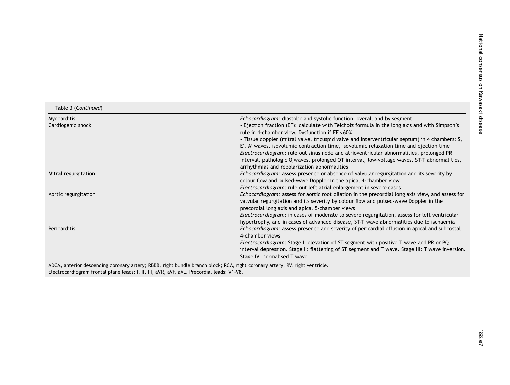| Myocarditis          | Echocardiogram: diastolic and systolic function, overall and by segment:                            |
|----------------------|-----------------------------------------------------------------------------------------------------|
| Cardiogenic shock    | - Ejection fraction (EF): calculate with Teicholz formula in the long axis and with Simpson's       |
|                      | rule in 4-chamber view. Dysfunction if EF < 60%                                                     |
|                      | - Tissue doppler (mitral valve, tricuspid valve and interventricular septum) in 4 chambers: S,      |
|                      | $E'$ , A' waves, isovolumic contraction time, isovolumic relaxation time and ejection time          |
|                      | Electrocardiogram: rule out sinus node and atrioventricular abnormalities, prolonged PR             |
|                      | interval, pathologic Q waves, prolonged QT interval, low-voltage waves, ST-T abnormalities,         |
|                      | arrhythmias and repolarization abnormalities                                                        |
| Mitral regurgitation | <i>Echocardiogram:</i> assess presence or absence of valvular regurgitation and its severity by     |
|                      | colour flow and pulsed-wave Doppler in the apical 4-chamber view                                    |
|                      | Electrocardiogram: rule out left atrial enlargement in severe cases                                 |
| Aortic regurgitation | Echocardiogram: assess for aortic root dilation in the precordial long axis view, and assess for    |
|                      | valvular regurgitation and its severity by colour flow and pulsed-wave Doppler in the               |
|                      | precordial long axis and apical 5-chamber views                                                     |
|                      | <i>Electrocardiogram:</i> in cases of moderate to severe regurgitation, assess for left ventricular |
|                      | hypertrophy, and in cases of advanced disease, ST-T wave abnormalities due to ischaemia             |
| Pericarditis         | Echocardiogram: assess presence and severity of pericardial effusion in apical and subcostal        |
|                      | 4-chamber views                                                                                     |
|                      | <i>Electrocardiogram:</i> Stage I: elevation of ST segment with positive T wave and PR or PQ        |
|                      | interval depression. Stage II: flattening of ST segment and T wave. Stage III: T wave inversion.    |
|                      | Stage IV: normalised T wave                                                                         |

ADCA, anterior descending coronary artery; RBBB, right bundle branch block; RCA, right coronary artery; RV, right ventricle. Electrocardiogram frontal plane leads: I, II, III, aVR, aVF, aVL. Precordial leads: V1-V8.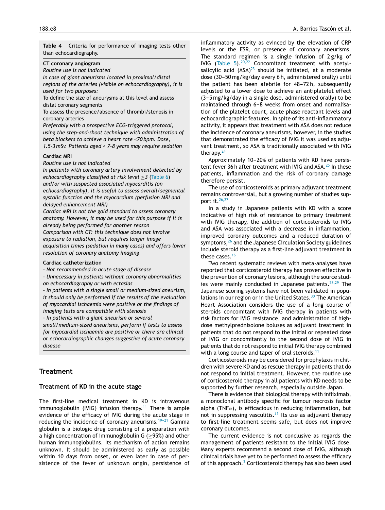<span id="page-7-0"></span>**Table 4** Criteria for performance of imaging tests other than echocardiography.

#### **CT coronary angiogram**

*Routine use is not indicated*

*In case of giant aneurisms located in proximal/distal regions of the arteries (visible on echocardiography), it is used for two purposes:*

To define the size of aneurysms at this level and assess distal coronary segments

To assess the presence/absence of thrombi/stenosis in coronary arteries

*Preferably with a prospective ECG-triggered protocol, using the step-and-shoot technique with administration of beta blockers to achieve a heart rate <70 bpm. Dose, 1.5-3 mSv. Patients aged < 7-8 years may require sedation*

#### **Cardiac MRI**

*Routine use is not indicated*

*In patients with coronary artery involvement detected by echocardiography classified at risk level* ≥*3* [\(Table](#page-13-0) 6) *and/or with suspected associated myocarditis (on echocardiography), it is useful to assess overall/segmental systolic function and the myocardium (perfusion MRI and delayed enhancement MRI)*

*Cardiac MRI is not the gold standard to assess coronary anatomy. However, it may be used for this purpose if it is already being performed for another reason Comparison with CT: this technique does not involve exposure to radiation, but requires longer image acquisition times (sedation in many cases) and offers lower resolution of coronary anatomy imaging*

#### **Cardiac catheterization**

- *Not recommended in acute stage of disease*

- *Unnecessary in patients without coronary abnormalities on echocardiography or with ectasias*

- *In patients with a single small or medium-sized aneurism, it should only be performed if the results of the evaluation of myocardial ischaemia were positive or the findings of imaging tests are compatible with stenosis*

- *In patients with a giant aneurism or several small/medium-sized aneurisms, perform if tests to assess for myocardial ischaemia are positive or there are clinical or echocardiographic changes suggestive of acute coronary disease*

## **Treatment**

#### **Treatment of KD in the acute stage**

The first-line medical treatment in KD is intravenous immunoglobulin (IVIG) infusion therapy.<sup>[11](#page-20-0)</sup> There is ample evidence of the efficacy of IVIG during the acute stage in reducing the incidence of coronary aneurisms.<sup>19-21</sup> Gamma globulin is a biologic drug consisting of a preparation with a high concentration of immunoglobulin G (≥95%) and other human immunoglobulins. Its mechanism of action remains unknown. It should be administered as early as possible within 10 days from onset, or even later in case of persistence of the fever of unknown origin, persistence of

inflammatory activity as evinced by the elevation of CRP levels or the ESR, or presence of coronary aneurisms. The standard regimen is a single infusion of 2 g/kg of IVIG [\(Table](#page-8-0)  $51.20,22$  $51.20,22$  Concomitant treatment with acetylsalicylic acid  $(ASA)^{23}$  $(ASA)^{23}$  $(ASA)^{23}$  should be initiated, at a moderate dose (30-50 mg/kg/day every 6 h, administered orally) until the patient has been afebrile for 48-72 h, subsequently adjusted to a lower dose to achieve an antiplatelet effect  $(3-5$  mg/kg/day in a single dose, administered orally) to be maintained through 6-8 weeks from onset and normalisation of the platelet count, acute phase reactant levels and echocardiographic features. In spite of its anti-inflammatory activity, it appears that treatment with ASA does not reduce the incidence of coronary aneurisms, however, in the studies that demonstrated the efficacy of IVIG it was used as adjuvant treatment, so ASA is traditionally associated with IVIG therapy. $24$ 

Approximately  $10-20%$  of patients with KD have persis-tent fever 36 h after treatment with IVIG and ASA.<sup>[25](#page-21-0)</sup> In these patients, inflammation and the risk of coronary damage therefore persist.

The use of corticosteroids as primary adjuvant treatment remains controversial, but a growing number of studies sup-port it.<sup>[26,27](#page-21-0)</sup>

In a study in Japanese patients with KD with a score indicative of high risk of resistance to primary treatment with IVIG therapy, the addition of corticosteroids to IVIG and ASA was associated with a decrease in inflammation, improved coronary outcomes and a reduced duration of symptoms,<sup>[26](#page-21-0)</sup> and the Japanese Circulation Society guidelines include steroid therapy as a first-line adjuvant treatment in these cases.<sup>[16](#page-20-0)</sup>

Two recent systematic reviews with meta-analyses have reported that corticosteroid therapy has proven effective in the prevention of coronary lesions, although the source studies were mainly conducted in Japanese patients. $28,29$  The Japanese scoring systems have not been validated in popu-lations in our region or in the United States.<sup>[30](#page-21-0)</sup> The American Heart Association considers the use of a long course of steroids concomitant with IVIG therapy in patients with risk factors for IVIG resistance, and administration of highdose methylprednisolone boluses as adjuvant treatment in patients that do not respond to the initial or repeated dose of IVIG or concomitantly to the second dose of IVIG in patients that do not respond to initial IVIG therapy combined with a long course and taper of oral steroids.<sup>[11](#page-20-0)</sup>

Corticosteroids may be considered for prophylaxis in children with severe KD and as rescue therapy in patients that do not respond to initial treatment. However, the routine use of corticosteroid therapy in all patients with KD needs to be supported by further research, especially outside Japan.

There is evidence that biological therapy with infliximab, a monoclonal antibody specific for tumour necrosis factor alpha (TNF $\alpha$ ), is efficacious in reducing inflammation, but not in suppressing vasculitis. $31$  Its use as adjuvant therapy to first-line treatment seems safe, but does not improve coronary outcomes.

The current evidence is not conclusive as regards the management of patients resistant to the initial IVIG dose. Many experts recommend a second dose of IVIG, although clinical trials have yet to be performed to assess the efficacy of this approach.<sup>3</sup> [C](#page-20-0)orticosteroid therapy has also been used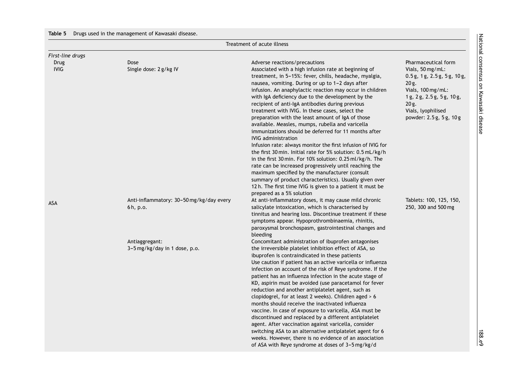<span id="page-8-0"></span>

| Table 5 |  | Drugs used in the management of Kawasaki disease. |  |
|---------|--|---------------------------------------------------|--|
|---------|--|---------------------------------------------------|--|

National consensus s Kawasaki disease

| First-line drugs    |                                                      |                                                                                                                                                                                                                                                                                                                                                                                                                                                                                                                                                                                                                                                                                                                                                                                                                                                                                                                                                                                                                                                                                         |                                                                                                                                                                                       |
|---------------------|------------------------------------------------------|-----------------------------------------------------------------------------------------------------------------------------------------------------------------------------------------------------------------------------------------------------------------------------------------------------------------------------------------------------------------------------------------------------------------------------------------------------------------------------------------------------------------------------------------------------------------------------------------------------------------------------------------------------------------------------------------------------------------------------------------------------------------------------------------------------------------------------------------------------------------------------------------------------------------------------------------------------------------------------------------------------------------------------------------------------------------------------------------|---------------------------------------------------------------------------------------------------------------------------------------------------------------------------------------|
| Drug<br><b>IVIG</b> | Dose<br>Single dose: 2 g/kg IV                       | Adverse reactions/precautions<br>Associated with a high infusion rate at beginning of<br>treatment, in 5-15%: fever, chills, headache, myalgia,<br>nausea, vomiting. During or up to 1-2 days after<br>infusion. An anaphylactic reaction may occur in children<br>with IgA deficiency due to the development by the<br>recipient of anti-IgA antibodies during previous<br>treatment with IVIG. In these cases, select the<br>preparation with the least amount of IgA of those<br>available. Measles, mumps, rubella and varicella<br>immunizations should be deferred for 11 months after<br><b>IVIG</b> administration<br>Infusion rate: always monitor the first infusion of IVIG for<br>the first 30 min. Initial rate for 5% solution: 0.5 mL/kg/h<br>in the first 30 min. For 10% solution: 0.25 ml/kg/h. The<br>rate can be increased progressively until reaching the<br>maximum specified by the manufacturer (consult<br>summary of product characteristics). Usually given over<br>12 h. The first time IVIG is given to a patient it must be<br>prepared as a 5% solution | Pharmaceutical form<br>Vials, 50 mg/mL:<br>$0.5g$ , 1g, 2.5g, 5g, 10g,<br>20g.<br>Vials, 100 mg/mL:<br>1g, 2g, 2.5g, 5g, 10g,<br>20 g.<br>Vials, lyophilised<br>powder: 2.5g, 5g, 10g |
| ASA                 | Anti-inflammatory: 30-50 mg/kg/day every<br>6h, p.o. | At anti-inflammatory doses, it may cause mild chronic<br>salicylate intoxication, which is characterised by<br>tinnitus and hearing loss. Discontinue treatment if these<br>symptoms appear. Hypoprothrombinaemia, rhinitis,<br>paroxysmal bronchospasm, gastrointestinal changes and<br>bleeding                                                                                                                                                                                                                                                                                                                                                                                                                                                                                                                                                                                                                                                                                                                                                                                       | Tablets: 100, 125, 150,<br>250, 300 and 500 mg                                                                                                                                        |
|                     | Antiaggregant:<br>3-5 mg/kg/day in 1 dose, p.o.      | Concomitant administration of ibuprofen antagonises<br>the irreversible platelet inhibition effect of ASA, so<br>ibuprofen is contraindicated in these patients<br>Use caution if patient has an active varicella or influenza<br>infection on account of the risk of Reye syndrome. If the<br>patient has an influenza infection in the acute stage of<br>KD, aspirin must be avoided (use paracetamol for fever<br>reduction and another antiplatelet agent, such as<br>clopidogrel, for at least 2 weeks). Children aged > 6<br>months should receive the inactivated influenza<br>vaccine. In case of exposure to varicella, ASA must be<br>discontinued and replaced by a different antiplatelet<br>agent. After vaccination against varicella, consider<br>switching ASA to an alternative antiplatelet agent for 6<br>weeks. However, there is no evidence of an association<br>of ASA with Reye syndrome at doses of 3-5 mg/kg/d                                                                                                                                                |                                                                                                                                                                                       |

Treatment of acute illness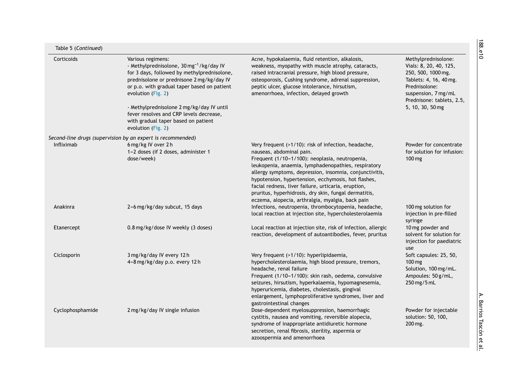| Table 5 (Continued) |  |  |  |
|---------------------|--|--|--|
|---------------------|--|--|--|

| Table 3 (Continued) |                                                                                                                                                                                                                                                                                                                                                                                                 |                                                                                                                                                                                                                                                                                                                                                                                                                                                                                |                                                                                                                                                                                        |
|---------------------|-------------------------------------------------------------------------------------------------------------------------------------------------------------------------------------------------------------------------------------------------------------------------------------------------------------------------------------------------------------------------------------------------|--------------------------------------------------------------------------------------------------------------------------------------------------------------------------------------------------------------------------------------------------------------------------------------------------------------------------------------------------------------------------------------------------------------------------------------------------------------------------------|----------------------------------------------------------------------------------------------------------------------------------------------------------------------------------------|
| Corticoids          | Various regimens:<br>- Methylprednisolone, 30 mg <sup>-1</sup> /kg/day IV<br>for 3 days, followed by methylprednisolone,<br>prednisolone or prednisone 2 mg/kg/day IV<br>or p.o. with gradual taper based on patient<br>evolution (Fig. 2)<br>- Methylprednisolone 2 mg/kg/day IV until<br>fever resolves and CRP levels decrease,<br>with gradual taper based on patient<br>evolution (Fig. 2) | Acne, hypokalaemia, fluid retention, alkalosis,<br>weakness, myopathy with muscle atrophy, cataracts,<br>raised intracranial pressure, high blood pressure,<br>osteoporosis, Cushing syndrome, adrenal suppression,<br>peptic ulcer, glucose intolerance, hirsutism,<br>amenorrhoea, infection, delayed growth                                                                                                                                                                 | Methylprednisolone:<br>Vials: 8, 20, 40, 125,<br>250, 500, 1000 mg.<br>Tablets: 4, 16, 40 mg.<br>Prednisolone:<br>suspension, 7 mg/mL<br>Prednisone: tablets, 2.5,<br>5, 10, 30, 50 mg |
|                     |                                                                                                                                                                                                                                                                                                                                                                                                 |                                                                                                                                                                                                                                                                                                                                                                                                                                                                                |                                                                                                                                                                                        |
| Infliximab          | Second-line drugs (supervision by an expert is recommended)<br>6 mg/kg IV over 2 h<br>1-2 doses (if 2 doses, administer 1<br>dose/week)                                                                                                                                                                                                                                                         | Very frequent (>1/10): risk of infection, headache,<br>nauseas, abdominal pain.<br>Frequent (1/10-1/100): neoplasia, neutropenia,<br>leukopenia, anaemia, lymphadenopathies, respiratory<br>allergy symptoms, depression, insomnia, conjunctivitis,<br>hypotension, hypertension, ecchymosis, hot flashes,<br>facial redness, liver failure, urticaria, eruption,<br>pruritus, hyperhidrosis, dry skin, fungal dermatitis,<br>eczema, alopecia, arthralgia, myalgia, back pain | Powder for concentrate<br>for solution for infusion:<br>100 mg                                                                                                                         |
| Anakinra            | 2-6 mg/kg/day subcut, 15 days                                                                                                                                                                                                                                                                                                                                                                   | Infections, neutropenia, thrombocytopenia, headache,<br>local reaction at injection site, hypercholesterolaemia                                                                                                                                                                                                                                                                                                                                                                | 100 mg solution for<br>injection in pre-filled<br>syringe                                                                                                                              |
| Etanercept          | 0.8 mg/kg/dose IV weekly (3 doses)                                                                                                                                                                                                                                                                                                                                                              | Local reaction at injection site, risk of infection, allergic<br>reaction, development of autoantibodies, fever, pruritus                                                                                                                                                                                                                                                                                                                                                      | 10 mg powder and<br>solvent for solution for<br>injection for paediatric<br>use                                                                                                        |
| Ciclosporin         | 3 mg/kg/day IV every 12 h<br>4-8 mg/kg/day p.o. every 12 h                                                                                                                                                                                                                                                                                                                                      | Very frequent (>1/10): hyperlipidaemia,<br>hypercholesterolaemia, high blood pressure, tremors,<br>headache, renal failure<br>Frequent (1/10-1/100): skin rash, oedema, convulsive<br>seizures, hirsutism, hyperkalaemia, hypomagnesemia,<br>hyperuricemia, diabetes, cholestasis, gingival<br>enlargement, lymphoproliferative syndromes, liver and<br>gastrointestinal changes                                                                                               | Soft capsules: 25, 50,<br>100 mg<br>Solution, 100 mg/mL.<br>Ampoules: 50 g/mL,<br>250 mg/5 mL                                                                                          |
| Cyclophosphamide    | 2 mg/kg/day IV single infusion                                                                                                                                                                                                                                                                                                                                                                  | Dose-dependent myelosuppression, haemorrhagic<br>cystitis, nausea and vomiting, reversible alopecia,<br>syndrome of inappropriate antidiuretic hormone<br>secretion, renal fibrosis, sterility, aspermia or<br>azoospermia and amenorrhoea                                                                                                                                                                                                                                     | Powder for injectable<br>solution: 50, 100,<br>200 mg.                                                                                                                                 |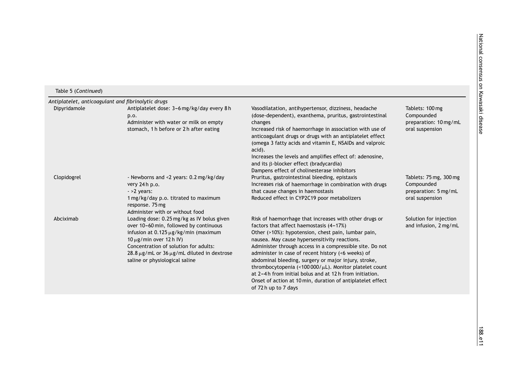—<br>—

| Table 5 (Continued)                                |                                                                                                                                                                                                                                                                                                      |                                                                                                                                                                                                                                                                                                                                                                                                                                                                                                                                                                                                     |                                                                                 |
|----------------------------------------------------|------------------------------------------------------------------------------------------------------------------------------------------------------------------------------------------------------------------------------------------------------------------------------------------------------|-----------------------------------------------------------------------------------------------------------------------------------------------------------------------------------------------------------------------------------------------------------------------------------------------------------------------------------------------------------------------------------------------------------------------------------------------------------------------------------------------------------------------------------------------------------------------------------------------------|---------------------------------------------------------------------------------|
| Antiplatelet, anticoagulant and fibrinolytic drugs |                                                                                                                                                                                                                                                                                                      |                                                                                                                                                                                                                                                                                                                                                                                                                                                                                                                                                                                                     |                                                                                 |
| Dipyridamole                                       | Antiplatelet dose: 3-6 mg/kg/day every 8 h<br>p.o.<br>Administer with water or milk on empty<br>stomach, 1 h before or 2 h after eating                                                                                                                                                              | Vasodilatation, antihypertensor, dizziness, headache<br>(dose-dependent), exanthema, pruritus, gastrointestinal<br>changes<br>Increased risk of haemorrhage in association with use of<br>anticoagulant drugs or drugs with an antiplatelet effect<br>(omega 3 fatty acids and vitamin E, NSAIDs and valproic<br>acid).<br>Increases the levels and amplifies effect of: adenosine,<br>and its $\beta$ -blocker effect (bradycardia)<br>Dampens effect of cholinesterase inhibitors                                                                                                                 | Tablets: 100 mg<br>Compounded<br>preparation: 10 mg/mL<br>oral suspension       |
| Clopidogrel                                        | - Newborns and <2 years: 0.2 mg/kg/day<br>very 24h p.o.<br>$-$ >2 years:<br>1 mg/kg/day p.o. titrated to maximum<br>response. 75 mg<br>Administer with or without food                                                                                                                               | Pruritus, gastrointestinal bleeding, epistaxis<br>Increases risk of haemorrhage in combination with drugs<br>that cause changes in haemostasis<br>Reduced effect in CYP2C19 poor metabolizers                                                                                                                                                                                                                                                                                                                                                                                                       | Tablets: 75 mg, 300 mg<br>Compounded<br>preparation: 5 mg/mL<br>oral suspension |
| Abciximab                                          | Loading dose: 0.25 mg/kg as IV bolus given<br>over 10-60 min, followed by continuous<br>infusion at $0.125 \mu g/kg/min$ (maximum<br>$10 \mu g/min$ over 12 h IV)<br>Concentration of solution for adults:<br>28.8 $\mu$ g/mL or 36 $\mu$ g/mL diluted in dextrose<br>saline or physiological saline | Risk of haemorrhage that increases with other drugs or<br>factors that affect haemostasis (4-17%)<br>Other (>10%): hypotension, chest pain, lumbar pain,<br>nausea. May cause hypersensitivity reactions.<br>Administer through access in a compressible site. Do not<br>administer in case of recent history (<6 weeks) of<br>abdominal bleeding, surgery or major injury, stroke,<br>thrombocytopenia (<100 000/ $\mu$ L). Monitor platelet count<br>at 2-4h from initial bolus and at 12h from initiation.<br>Onset of action at 10 min, duration of antiplatelet effect<br>of 72 h up to 7 days | Solution for injection<br>and infusion, 2 mg/mL                                 |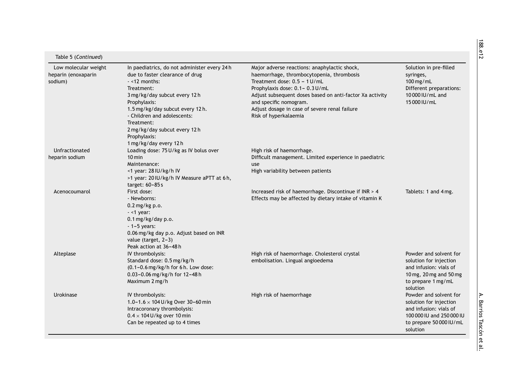| Table 5 (Continued)                                    |                                                                                                                                                                                                                                                                                                                             |                                                                                                                                                                                                                                                                                                                                |                                                                                                                                                |
|--------------------------------------------------------|-----------------------------------------------------------------------------------------------------------------------------------------------------------------------------------------------------------------------------------------------------------------------------------------------------------------------------|--------------------------------------------------------------------------------------------------------------------------------------------------------------------------------------------------------------------------------------------------------------------------------------------------------------------------------|------------------------------------------------------------------------------------------------------------------------------------------------|
| Low molecular weight<br>heparin (enoxaparin<br>sodium) | In paediatrics, do not administer every 24h<br>due to faster clearance of drug<br>$-$ <12 months:<br>Treatment:<br>3 mg/kg/day subcut every 12 h<br>Prophylaxis:<br>1.5 mg/kg/day subcut every 12h.<br>- Children and adolescents:<br>Treatment:<br>2 mg/kg/day subcut every 12 h<br>Prophylaxis:<br>1 mg/kg/day every 12 h | Major adverse reactions: anaphylactic shock,<br>haemorrhage, thrombocytopenia, thrombosis<br>Treatment dose: $0.5 - 1$ U/mL<br>Prophylaxis dose: 0.1- 0.3 U/mL<br>Adjust subsequent doses based on anti-factor Xa activity<br>and specific nomogram.<br>Adjust dosage in case of severe renal failure<br>Risk of hyperkalaemia | Solution in pre-filled<br>syringes,<br>100 mg/mL<br>Different preparations:<br>10 000 IU/mL and<br>15 000 IU/mL                                |
| Unfractionated<br>heparin sodium                       | Loading dose: 75 U/kg as IV bolus over<br>$10 \,\mathrm{min}$<br>Maintenance:<br><1 year: 28 IU/kg/h IV<br>>1 year: 20 IU/kg/h IV Measure aPTT at 6 h,<br>target: $60-85s$                                                                                                                                                  | High risk of haemorrhage.<br>Difficult management. Limited experience in paediatric<br>use<br>High variability between patients                                                                                                                                                                                                |                                                                                                                                                |
| Acenocoumarol                                          | First dose:<br>- Newborns:<br>$0.2$ mg/kg p.o.<br>$-$ <1 year:<br>$0.1$ mg/kg/day p.o.<br>$-1-5$ years:<br>0.06 mg/kg day p.o. Adjust based on INR<br>value (target, 2-3)<br>Peak action at 36-48h                                                                                                                          | Increased risk of haemorrhage. Discontinue if INR > 4<br>Effects may be affected by dietary intake of vitamin K                                                                                                                                                                                                                | Tablets: 1 and 4 mg.                                                                                                                           |
| Alteplase                                              | IV thrombolysis:<br>Standard dose: 0.5 mg/kg/h<br>(0.1-0.6 mg/kg/h for 6h. Low dose:<br>0.03-0.06 mg/kg/h for 12-48h<br>Maximum 2 mg/h                                                                                                                                                                                      | High risk of haemorrhage. Cholesterol crystal<br>embolisation. Lingual angioedema                                                                                                                                                                                                                                              | Powder and solvent for<br>solution for injection<br>and infusion: vials of<br>10 mg, 20 mg and 50 mg<br>to prepare 1 mg/mL<br>solution         |
| Urokinase                                              | IV thrombolysis:<br>1.0-1.6 $\times$ 104 U/kg Over 30-60 min<br>Intracoronary thrombolysis:<br>$0.4 \times 104$ U/kg over 10 min<br>Can be repeated up to 4 times                                                                                                                                                           | High risk of haemorrhage                                                                                                                                                                                                                                                                                                       | Powder and solvent for<br>solution for injection<br>and infusion: vials of<br>100 000 IU and 250 000 IU<br>to prepare 50 000 IU/mL<br>solution |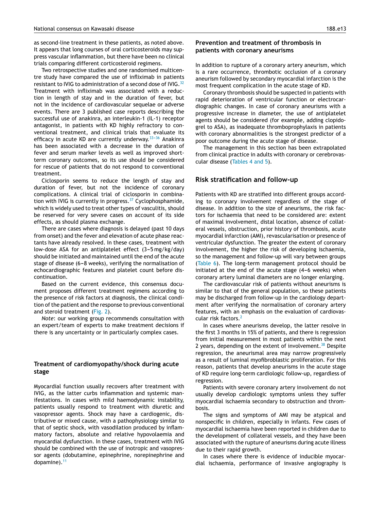as second-line treatment in these patients, as noted above. It appears that long courses of oral corticosteroids may suppress vascular inflammation, but there have been no clinical trials comparing different corticosteroid regimens.

Two retrospective studies and one randomised multicentre study have compared the use of infliximab in patients resistant to IVIG to administration of a second dose of IVIG.<sup>[32](#page-21-0)</sup> Treatment with infliximab was associated with a reduction in length of stay and in the duration of fever, but not in the incidence of cardiovascular sequelae or adverse events. There are 3 published case reports describing the successful use of anakinra, an interleukin-1 (IL-1) receptor antagonist, in patients with KD highly refractory to conventional treatment, and clinical trials that evaluate its efficacy in acute KD are currently underway.  $33-36$  Anakinra has been associated with a decrease in the duration of fever and serum marker levels as well as improved shortterm coronary outcomes, so its use should be considered for rescue of patients that do not respond to conventional treatment.

Ciclosporin seems to reduce the length of stay and duration of fever, but not the incidence of coronary complications. A clinical trial of ciclosporin in combination with IVIG is currently in progress. $37$  Cyclophosphamide, which is widely used to treat other types of vasculitis, should be reserved for very severe cases on account of its side effects, as should plasma exchange.

There are cases where diagnosis is delayed (past 10 days from onset) and the fever and elevation of acute phase reactants have already resolved. In these cases, treatment with low-dose ASA for an antiplatelet effect (3-5 mg/kg/day) should be initiated and maintained until the end of the acute stage of disease (6-8 weeks), verifying the normalisation of echocardiographic features and platelet count before discontinuation.

Based on the current evidence, this consensus document proposes different treatment regimens according to the presence of risk factors at diagnosis, the clinical condition of the patient and the response to previous conventional and steroid treatment [\(Fig.](#page-17-0) 2).

*Note*: our working group recommends consultation with an expert/team of experts to make treatment decisions if there is any uncertainty or in particularly complex cases.

## **Treatment of cardiomyopathy/shock during acute stage**

Myocardial function usually recovers after treatment with IVIG, as the latter curbs inflammation and systemic manifestations. In cases with mild haemodynamic instability, patients usually respond to treatment with diuretic and vasopressor agents. Shock may have a cardiogenic, distributive or mixed cause, with a pathophysiology similar to that of septic shock, with vasodilation produced by inflammatory factors, absolute and relative hypovolaemia and myocardial dysfunction. In these cases, treatment with IVIG should be combined with the use of inotropic and vasopressor agents (dobutamine, epinephrine, norepinephrine and dopamine). $11$ 

## **Prevention and treatment of thrombosis in patients with coronary aneurisms**

In addition to rupture of a coronary artery aneurism, which is a rare occurrence, thrombotic occlusion of a coronary aneurism followed by secondary myocardial infarction is the most frequent complication in the acute stage of KD.

Coronary thrombosis should be suspected in patients with rapid deterioration of ventricular function or electrocardiographic changes. In case of coronary aneurisms with a progressive increase in diameter, the use of antiplatelet agents should be considered (for example, adding clopidogrel to ASA), as inadequate thromboprophylaxis in patients with coronary abnormalities is the strongest predictor of a poor outcome during the acute stage of disease.

The management in this section has been extrapolated from clinical practice in adults with coronary or cerebrovascular disease ([Tables](#page-7-0) 4 and 5).

## **Risk stratification and follow-up**

Patients with KD are stratified into different groups according to coronary involvement regardless of the stage of disease. In addition to the size of aneurisms, the risk factors for ischaemia that need to be considered are: extent of maximal involvement, distal location, absence of collateral vessels, obstruction, prior history of thrombosis, acute myocardial infarction (AMI), revascularisation or presence of ventricular dysfunction. The greater the extent of coronary involvement, the higher the risk of developing ischaemia, so the management and follow-up will vary between groups ([Table](#page-13-0) 6). The long-term management protocol should be initiated at the end of the acute stage  $(4-6$  weeks) when coronary artery luminal diameters are no longer enlarging.

The cardiovascular risk of patients without aneurisms is similar to that of the general population, so these patients may be discharged from follow-up in the cardiology department after verifying the normalisation of coronary artery features, with an emphasis on the evaluation of cardiovascular risk factors.[2](#page-20-0)

In cases where aneurisms develop, the latter resolve in the first 3 months in 15% of patients, and there is regression from initial measurement in most patients within the next 2 years, depending on the extent of involvement.  $38$  Despite regression, the aneurismal area may narrow progressively as a result of luminal myofibroblastic proliferation. For this reason, patients that develop aneurisms in the acute stage of KD require long-term cardiologic follow-up, regardless of regression.

Patients with severe coronary artery involvement do not usually develop cardiologic symptoms unless they suffer myocardial ischaemia secondary to obstruction and thrombosis.

The signs and symptoms of AMI may be atypical and nonspecific in children, especially in infants. Few cases of myocardial ischaemia have been reported in children due to the development of collateral vessels, and they have been associated with the rupture of aneurisms during acute illness due to their rapid growth.

In cases where there is evidence of inducible myocardial ischaemia, performance of invasive angiography is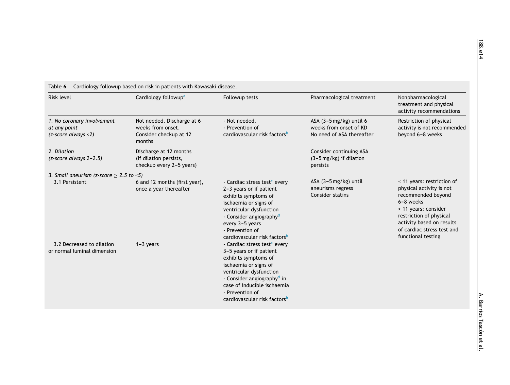<span id="page-13-0"></span>

| Risk level                                                                  | Cardiology followup <sup>a</sup>                                                    | Followup tests                                                                                                                                                                                                                                                                          | Pharmacological treatment                                                       | Nonpharmacological<br>treatment and physical<br>activity recommendations                                                                                                                                                      |
|-----------------------------------------------------------------------------|-------------------------------------------------------------------------------------|-----------------------------------------------------------------------------------------------------------------------------------------------------------------------------------------------------------------------------------------------------------------------------------------|---------------------------------------------------------------------------------|-------------------------------------------------------------------------------------------------------------------------------------------------------------------------------------------------------------------------------|
| 1. No coronary involvement<br>at any point<br>$(z\text{-score always} < 2)$ | Not needed. Discharge at 6<br>weeks from onset.<br>Consider checkup at 12<br>months | - Not needed.<br>- Prevention of<br>cardiovascular risk factors <sup>b</sup>                                                                                                                                                                                                            | ASA $(3-5mg/kg)$ until 6<br>weeks from onset of KD<br>No need of ASA thereafter | Restriction of physical<br>activity is not recommended<br>beyond 6-8 weeks                                                                                                                                                    |
| 2. Dilation<br>$(z$ -score always 2–2.5)                                    | Discharge at 12 months<br>(If dilation persists,<br>checkup every 2-5 years)        |                                                                                                                                                                                                                                                                                         | Consider continuing ASA<br>$(3-5 \text{ mg/kg})$ if dilation<br>persists        |                                                                                                                                                                                                                               |
| 3. Small aneurism (z-score $\geq$ 2.5 to <5)                                |                                                                                     |                                                                                                                                                                                                                                                                                         |                                                                                 |                                                                                                                                                                                                                               |
| 3.1 Persistent                                                              | 6 and 12 months (first year),<br>once a year thereafter                             | - Cardiac stress test <sup>c</sup> every<br>2-3 years or if patient<br>exhibits symptoms of<br>ischaemia or signs of<br>ventricular dysfunction<br>- Consider angiography <sup>d</sup><br>every 3-5 years<br>- Prevention of<br>cardiovascular risk factors <sup>b</sup>                | $ASA$ (3-5 mg/kg) until<br>aneurisms regress<br><b>Consider statins</b>         | < 11 years: restriction of<br>physical activity is not<br>recommended beyond<br>6-8 weeks<br>> 11 years: consider<br>restriction of physical<br>activity based on results<br>of cardiac stress test and<br>functional testing |
| 3.2 Decreased to dilation<br>or normal luminal dimension                    | $1-3$ years                                                                         | - Cardiac stress test <sup>c</sup> every<br>3-5 years or if patient<br>exhibits symptoms of<br>ischaemia or signs of<br>ventricular dysfunction<br>- Consider angiography <sup>d</sup> in<br>case of inducible ischaemia<br>- Prevention of<br>cardiovascular risk factors <sup>b</sup> |                                                                                 |                                                                                                                                                                                                                               |

#### **Table 6** Cardiology followup based on risk in patients with Kawasaki disease.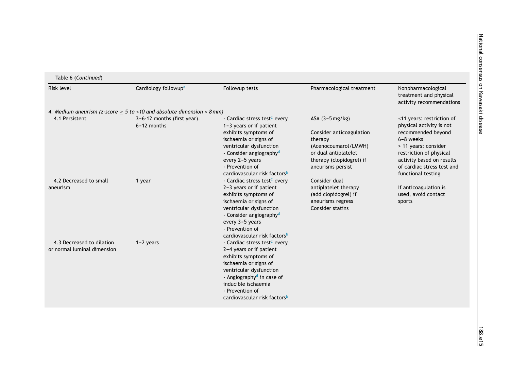| Table 6 (Continued)                                      |                                                                            |                                                                                                                                                                                                                                                                                |                                                                                                                                                          |                                                                                                                                                                                                                              |  |  |
|----------------------------------------------------------|----------------------------------------------------------------------------|--------------------------------------------------------------------------------------------------------------------------------------------------------------------------------------------------------------------------------------------------------------------------------|----------------------------------------------------------------------------------------------------------------------------------------------------------|------------------------------------------------------------------------------------------------------------------------------------------------------------------------------------------------------------------------------|--|--|
| <b>Risk level</b>                                        | Cardiology followup <sup>a</sup>                                           | Followup tests                                                                                                                                                                                                                                                                 | Pharmacological treatment                                                                                                                                | Nonpharmacological<br>treatment and physical<br>activity recommendations                                                                                                                                                     |  |  |
|                                                          | 4. Medium aneurism (z-score $\geq$ 5 to <10 and absolute dimension < 8 mm) |                                                                                                                                                                                                                                                                                |                                                                                                                                                          |                                                                                                                                                                                                                              |  |  |
| 4.1 Persistent                                           | 3-6-12 months (first year).<br>$6 - 12$ months                             | - Cardiac stress test <sup>c</sup> every<br>1-3 years or if patient<br>exhibits symptoms of<br>ischaemia or signs of<br>ventricular dysfunction<br>- Consider angiography <sup>d</sup><br>every 2-5 years<br>- Prevention of<br>cardiovascular risk factors <sup>b</sup>       | ASA $(3-5mg/kg)$<br>Consider anticoagulation<br>therapy<br>(Acenocoumarol/LMWH)<br>or dual antiplatelet<br>therapy (clopidogrel) if<br>aneurisms persist | <11 years: restriction of<br>physical activity is not<br>recommended beyond<br>6-8 weeks<br>> 11 years: consider<br>restriction of physical<br>activity based on results<br>of cardiac stress test and<br>functional testing |  |  |
| 4.2 Decreased to small<br>aneurism                       | 1 year                                                                     | - Cardiac stress test <sup>c</sup> every<br>2-3 years or if patient<br>exhibits symptoms of<br>ischaemia or signs of<br>ventricular dysfunction<br>- Consider angiography <sup>d</sup><br>every 3-5 years<br>- Prevention of<br>cardiovascular risk factors <sup>b</sup>       | Consider dual<br>antiplatelet therapy<br>(add clopidogrel) if<br>aneurisms regress<br><b>Consider statins</b>                                            | If anticoagulation is<br>used, avoid contact<br>sports                                                                                                                                                                       |  |  |
| 4.3 Decreased to dilation<br>or normal luminal dimension | $1-2$ years                                                                | - Cardiac stress test <sup>c</sup> every<br>2-4 years or if patient<br>exhibits symptoms of<br>ischaemia or signs of<br>ventricular dysfunction<br>- Angiography <sup>d</sup> in case of<br>inducible ischaemia<br>- Prevention of<br>cardiovascular risk factors <sup>b</sup> |                                                                                                                                                          |                                                                                                                                                                                                                              |  |  |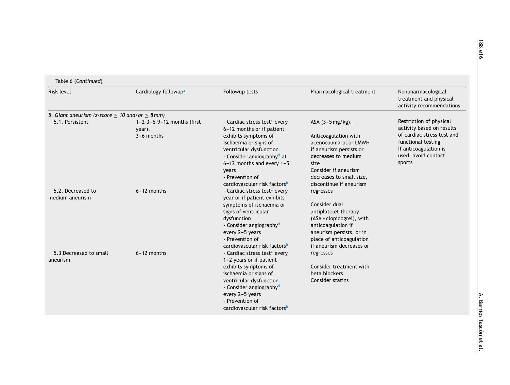| Table 6 (Continued)                                      |                                                                  |                                                                                                                                                                                                                                                                                                                 |                                                                                                                                                                                                                      |                                                                                                                                                                    |  |  |
|----------------------------------------------------------|------------------------------------------------------------------|-----------------------------------------------------------------------------------------------------------------------------------------------------------------------------------------------------------------------------------------------------------------------------------------------------------------|----------------------------------------------------------------------------------------------------------------------------------------------------------------------------------------------------------------------|--------------------------------------------------------------------------------------------------------------------------------------------------------------------|--|--|
| Risk level                                               | Cardiology followup <sup>a</sup>                                 | Followup tests                                                                                                                                                                                                                                                                                                  | Pharmacological treatment                                                                                                                                                                                            | Nonpharmacological<br>treatment and physical<br>activity recommendations                                                                                           |  |  |
| 5. Giant aneurism (z-score $\geq$ 10 and/or $\geq$ 8 mm) |                                                                  |                                                                                                                                                                                                                                                                                                                 |                                                                                                                                                                                                                      |                                                                                                                                                                    |  |  |
| 5.1. Persistent                                          | $1 - 2 - 3 - 6 - 9 - 12$ months (first<br>year).<br>$3-6$ months | - Cardiac stress test <sup>c</sup> every<br>6-12 months or if patient<br>exhibits symptoms of<br>ischaemia or signs of<br>ventricular dysfunction<br>- Consider angiography <sup>d</sup> at<br>6-12 months and every 1-5<br>years<br>- Prevention of                                                            | $ASA$ (3-5 mg/kg).<br>Anticoagulation with<br>acenocoumarol or LMWH<br>if aneurism persists or<br>decreases to medium<br>size<br>Consider if aneurism<br>decreases to small size,                                    | Restriction of physical<br>activity based on results<br>of cardiac stress test and<br>functional testing<br>If anticoagulation is<br>used, avoid contact<br>sports |  |  |
| 5.2. Decreased to<br>medium aneurism                     | $6 - 12$ months                                                  | cardiovascular risk factors <sup>b</sup><br>- Cardiac stress test <sup>c</sup> every<br>year or if patient exhibits<br>symptoms of ischaemia or<br>signs of ventricular<br>dysfunction<br>- Consider angiography <sup>d</sup><br>every 2-5 years<br>- Prevention of<br>cardiovascular risk factors <sup>b</sup> | discontinue if aneurism<br>regresses<br>Consider dual<br>antiplatelet therapy<br>(ASA + clopidogrel), with<br>anticoagulation if<br>aneurism persists, or in<br>place of anticoagulation<br>if aneurism decreases or |                                                                                                                                                                    |  |  |
| 5.3 Decreased to small<br>aneurism                       | $6 - 12$ months                                                  | - Cardiac stress test <sup>c</sup> every<br>1-2 years or if patient<br>exhibits symptoms of<br>ischaemia or signs of<br>ventricular dysfunction<br>- Consider angiography <sup>d</sup><br>every 2-5 years<br>- Prevention of<br>cardiovascular risk factors <sup>b</sup>                                        | regresses<br>Consider treatment with<br>beta blockers<br>Consider statins                                                                                                                                            |                                                                                                                                                                    |  |  |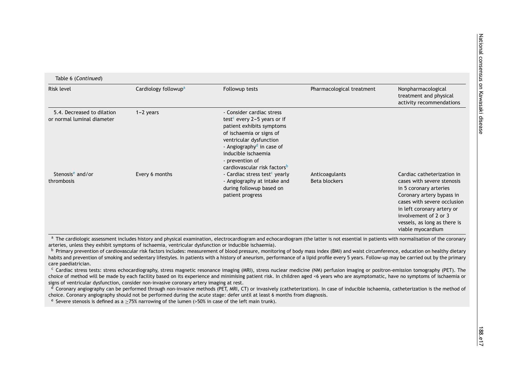National

consensus

s

Kawasaki

disease

<span id="page-16-0"></span>

| Table 6 (Continued)                                      |                                  |                                                                                                                                                                                                                                                                                         |                                 |                                                                                                                                                                                                                                                            |  |
|----------------------------------------------------------|----------------------------------|-----------------------------------------------------------------------------------------------------------------------------------------------------------------------------------------------------------------------------------------------------------------------------------------|---------------------------------|------------------------------------------------------------------------------------------------------------------------------------------------------------------------------------------------------------------------------------------------------------|--|
| Risk level                                               | Cardiology followup <sup>a</sup> | Followup tests                                                                                                                                                                                                                                                                          | Pharmacological treatment       | Nonpharmacological<br>treatment and physical<br>activity recommendations                                                                                                                                                                                   |  |
| 5.4. Decreased to dilation<br>or normal luminal diameter | $1-2$ years                      | - Consider cardiac stress<br>test <sup>c</sup> every 2-5 years or if<br>patient exhibits symptoms<br>of ischaemia or signs of<br>ventricular dysfunction<br>- Angiography <sup>d</sup> in case of<br>inducible ischaemia<br>- prevention of<br>cardiovascular risk factors <sup>b</sup> |                                 |                                                                                                                                                                                                                                                            |  |
| Stenosis <sup>e</sup> and/or<br>thrombosis               | Every 6 months                   | - Cardiac stress test <sup>c</sup> yearly<br>- Angiography at intake and<br>during followup based on<br>patient progress                                                                                                                                                                | Anticoagulants<br>Beta blockers | Cardiac catheterization in<br>cases with severe stenosis<br>in 5 coronary arteries<br>Coronary artery bypass in<br>cases with severe occlusion<br>in left coronary artery or<br>involvement of 2 or 3<br>vessels, as long as there is<br>viable myocardium |  |

a The cardiologic assessment includes history and physical examination, electrocardiogram and echocardiogram (the latter is not essential in patients with normalisation of the coronary arteries, unless they exhibit symptoms of ischaemia, ventricular dysfunction or inducible ischaemia).

<sup>b</sup> Primary prevention of cardiovascular risk factors includes: measurement of blood pressure, monitoring of body mass index (BMI) and waist circumference, education on healthy dietary habits and prevention of smoking and sedentary lifestyles. In patients with a history of aneurism, performance of a lipid profile every 5 years. Follow-up may be carried out by the primary care paediatrician.

<sup>c</sup> Cardiac stress tests: stress echocardiography, stress magnetic resonance imaging (MRI), stress nuclear medicine (NM) perfusion imaging or positron-emission tomography (PET). The choice of method will be made by each facility based on its experience and minimising patient risk. In children aged <6 years who are asymptomatic, have no symptoms of ischaemia or signs of ventricular dysfunction, consider non-invasive coronary artery imaging at rest.

 $d$  Coronary angiography can be performed through non-invasive methods (PET, MRI, CT) or invasively (catheterization). In case of inducible ischaemia, catheterization is the method of choice. Coronary angiography should not be performed during the acute stage: defer until at least 6 months from diagnosis.

<sup>e</sup> Severe stenosis is defined as a  $\geq$ 75% narrowing of the lumen (>50% in case of the left main trunk).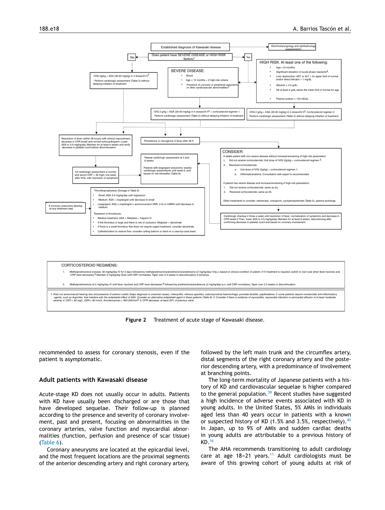<span id="page-17-0"></span>



**Figure 2** Treatment of acute stage of Kawasaki disease.

recommended to assess for coronary stenosis, even if the patient is asymptomatic.

## **Adult patients with Kawasaki disease**

Acute-stage KD does not usually occur in adults. Patients with KD have usually been discharged or are those that have developed sequelae. Their follow-up is planned according to the presence and severity of coronary involvement, past and present, focusing on abnormalities in the coronary arteries, valve function and myocardial abnormalities (function, perfusion and presence of scar tissue) [\(Table](#page-13-0) 6).

Coronary aneurysms are located at the epicardial level, and the most frequent locations are the proximal segments of the anterior descending artery and right coronary artery,

followed by the left main trunk and the circumflex artery, distal segments of the right coronary artery and the posterior descending artery, with a predominance of involvement at branching points.

The long-term mortality of Japanese patients with a history of KD and cardiovascular sequelae is higher compared to the general population. $39$  Recent studies have suggested a high incidence of adverse events associated with KD in young adults. In the United States, 5% AMIs in individuals aged less than 40 years occur in patients with a known or suspected history of KD  $(1.5\%$  and 3.5%, respectively).<sup>[40](#page-21-0)</sup> In Japan, up to 9% of AMIs and sudden cardiac deaths in young adults are attributable to a previous history of KD.[16](#page-20-0)

The AHA recommends transitioning to adult cardiology care at age 18-21 years.<sup>[11](#page-20-0)</sup> Adult cardiologists must be aware of this growing cohort of young adults at risk of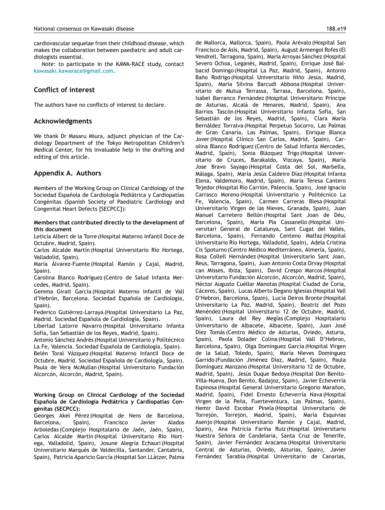<span id="page-18-0"></span>cardiovascular sequelae from their childhood disease, which makes the collaboration between paediatric and adult cardiologists essential.

*Note*: to participate in the KAWA-RACE study, contact [kawasaki.kawarace@gmail.com.](mailto:kawasaki.kawarace@gmail.com)

# **Conflict of interest**

The authors have no conflicts of interest to declare.

# **Acknowledgments**

We thank Dr Masaru Miura, adjunct physician of the Cardiology Department of the Tokyo Metropolitan Children's Medical Center, for his invaluable help in the drafting and editing of this article.

# **Appendix A. Authors**

Members of the Working Group on Clinical Cardiology of the Sociedad Española de Cardiología Pediátrica y Cardiopatías Congénitas (Spanish Society of Paediatric Cardiology and Congenital Heart Defects [SECPCC]):

## **Members that contributed directly to the development of this document**

Leticia Albert de la Torre (Hospital Materno Infantil Doce de Octubre, Madrid, Spain).

Carlos Alcalde Martín (Hospital Universitario Río Hortega, Valladolid, Spain).

María Álvarez-Fuente (Hospital Ramón y Cajal, Madrid, Spain).

Carolina Blanco Rodríguez (Centro de Salud Infanta Mercedes, Madrid, Spain).

Gemma Giralt García (Hospital Materno Infantil de Vall d'Hebrón, Barcelona. Sociedad Española de Cardiología, Spain).

Federico Gutiérrez-Larraya (Hospital Universitario La Paz, Madrid. Sociedad Española de Cardiología, Spain).

Libertad Latorre Navarro (Hospital Universitario Infanta Sofía, San Sebastián de los Reyes, Madrid, Spain).

Antonio Sánchez Andrés (Hospital Universitario y Politécnico La Fe, Valencia. Sociedad Española de Cardiología, Spain). Belén Toral Vázquez (Hospital Materno Infantil Doce de Octubre, Madrid. Sociedad Española de Cardiología, Spain). Paula de Vera McMullan (Hospital Universitario Fundación Alcorcón, Alcorcón, Madrid, Spain).

## **Working Group on Clinical Cardiology of the Sociedad Espanola ˜ de Cardiología Pediátrica y Cardiopatías Congénitas (SECPCC):**

Georges Akel Pérez (Hospital de Nens de Barcelona, Barcelona, Spain), Francisco Javier Alados Arboledas (Complejo Hospitalario de Jaén, Jaén, Spain), Carlos Alcalde Martín (Hospital Universitario Río Hortega, Valladolid, Spain), Josune Alegría Echauri(Hospital Universitario Marqués de Valdecilla, Santander, Cantabria, Spain), Patricia Aparicio García (Hospital Son LLàtzer, Palma

de Mallorca, Mallorca, Spain), Paola Arévalo (Hospital San Francisco de Asís, Madrid, Spain), August Armengol Rofes (El Vendrell, Tarragona, Spain), María Arroyas Sánchez (Hospital Severo Ochoa, Leganés, Madrid, Spain), Enrique José Balbacid Domingo (Hospital La Paz, Madrid, Spain), Antonio Baño Rodrigo (Hospital Universitario Niño Jesús, Madrid, Spain), María Silvina Barcudi Abbona (Hospital Universitario de Mutua Terrassa, Tarrasa, Barcelona, Spain), Isabel Barranco Fernández (Hospital Universitario Príncipe de Asturias, Alcalá de Henares, Madrid, Spain), Ana Barrios Tascón (Hospital Universitario Infanta Sofía, San Sebastián de los Reyes, Madrid, Spain), Clara María Bernáldez Torralva (Hospital Perpetuo Socorro, Las Palmas de Gran Canaria, Las Palmas, Spain), Enrique Blanca Jover(Hospital Clínico San Carlos, Madrid, Spain), Carolina Blanco Rodríguez (Centro de Salud Infanta Mercedes, Madrid, Spain), Sonia Blázquez Trigo (Hospital Universitario de Cruces, Barakaldo, Vizcaya, Spain), María Jose Bravo Sayago (Hospital Costa del Sol, Marbella, Málaga, Spain), María Jesús Caldeiro Díaz (Hospital Infanta Elena, Valdemoro, Madrid, Spain), María Teresa Cantero Tejedor(Hospital Río Carrión, Palencia, Spain), José Ignacio Carrasco Moreno (Hospital Universitario y Politécnico La Fe, Valencia, Spain), Carmen Carreras Blesa (Hospital Universitario Virgen de las Nieves, Granada, Spain), Juan Manuel Carretero Bellón (Hospital Sant Joan de Déu, Barcelona, Spain), María Pia Cassanello (Hospital Universitari General de Catalunya, Sant Cugat del Vallés, Barcelona, Spain), Fernando Centeno Malfaz (Hospital Universitario Río Hortega, Valladolid, Spain), Adela Cristina Cis Spoturno (Centro Médico Mediterráneo, Almería, Spain), Rosa Collell Hernández (Hospital Universitario Sant Joan, Reus, Tarragona, Spain), Juan Antonio Costa Orvay (Hospital can Misses, Ibiza, Spain), David Crespo Marcos (Hospital Universitario Fundación Alcorcón, Alcorcón, Madrid, Spain), Héctor Augusto Cuéllar Manotas (Hospital Ciudad de Coria, Cáceres, Spain), Lucas Alberto Degano Iglesias (Hospital Vall D'Hebron, Barcelona, Spain), Lucía Deiros Bronte (Hospital Universitario La Paz, Madrid, Spain), Beatriz del Pozo Menéndez (Hospital Universitario 12 de Octubre, Madrid, Spain), Laura del Rey Megías (Complejo Hospitalario Universitario de Albacete, Albacete, Spain), Juan José Díez Tomás (Centro Médico de Asturias, Oviedo, Asturia, Spain), Paola Dolader Colina (Hospital Vall D'Hebron, Barcelona, Spain), Olga Domínguez García (Hospital Virgen de la Salud, Toledo, Spain), María Nieves Domínguez Garrido (Fundación Jiménez Díaz, Madrid, Spain), Paula Domínguez Manzano (Hospital Universitario 12 de Octubre, Madrid, Spain), Jesús Duque Bedoya (Hospital Don Benito-Villa-Nueva, Don Benito, Badajoz, Spain), Javier Echeverría Espinosa (Hospital General Universitario Gregorio Marañon, Madrid, Spain), Fidel Ernesto Echeverría Nava (Hospital Virgen de la Peña, Fuerteventura, Las Palmas, Spain), Hemir David Escobar Pinela (Hospital Universitario de Torrejón, Torrejón, Madrid, Spain), María Esquivias Asenjo (Hospital Universitario Ramón y Cajal, Madrid, Spain), Ana Patricia Fariña Ruiz (Hospital Universitario Nuestra Señora de Candelaria, Santa Cruz de Tenerife, Spain), Javier Fernández Aracama (Hospital Universitario Central de Asturias, Oviedo, Asturias, Spain), Javier Fernández Sarabia (Hospital Universitario de Canarias,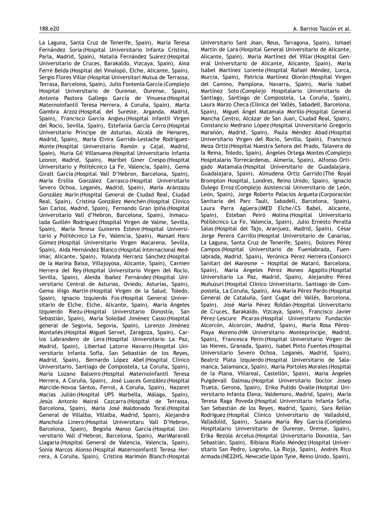La Laguna, Santa Cruz de Tenerife, Spain), María Teresa Fernández Soria (Hospital Universitario Infanta Cristina, Parla, Madrid, Spain), Natalia Fernández Suárez (Hospital Universitario de Cruces, Barakaldo, Vizcaya, Spain), Aina Ferré Belda (Hospital del Vinalopó, Elche, Alicante, Spain), Sergio Flores Villar (Hospital Universitari Mutua de Terrassa, Terrasa, Barcelona, Spain), Julio Fontenla García (Complejo Hospital Universitario de Ourense, Ourense, Spain), Antonia Pastora Gallego García de Vinuesa (Hospital Maternoinfantil Teresa Herrera, A Coruña, Spain), Marta Gambra Arzoz (Hospital del Sureste, Arganda, Madrid, Spain), Francisco García Angleu (Hospital infantil Virgen del Rocío, Sevilla, Spain), Estefanía García Cerro (Hospital Universitario Príncipe de Asturias, Alcalá de Henares, Madrid, Spain), María Elvira Garrido-Lestache Rodríguez-Monte (Hospital Universitario Ramón y Cajal, Madrid, Spain), Nuria Gil Villanueva (Hospital Universitario Infanta Leonor, Madrid, Spain), Maribel Giner Crespo (Hospital Universitario y Politécnico La Fe, Valencia, Spain), Gema Giralt García (Hospital Vall D'Hebron, Barcelona, Spain), María Ersilia González Carrasco (Hospital Universitario Severo Ochoa, Leganés, Madrid, Spain), María Aránzazu González Marín (Hospital General de Ciudad Real, Ciudad Real, Spain), Cristina González Menchén (Hospital Clínico San Carlos, Madrid, Spain), Fernando Gran Ipiña (Hospital Universitario Vall d'Hebron, Barcelona, Spain), Inmaculada Guillén Rodríguez (Hospital Virgen de Valme, Sevilla, Spain), María Teresa Guixeres Esteve (Hospital Universitario y Politécnico La Fe, Valencia, Spain), Manuel Haro Gómez (Hospital Universitario Virgen Macarena, Sevilla, Spain), Aida Hernández Blanco (Hospital Internacional Medimar, Alicante, Spain), Yolanda Herranz Sánchez (Hospital de la Marina Baixa, Villajoyosa, Alicante, Spain), Carmen Herrera del Rey (Hospital Universitario Virgen del Rocío, Sevilla, Spain), Aleida Ibañez Fernández (Hospital Universitario Central de Asturias, Oviedo, Asturias, Spain), Gema Iñigo Martín (Hospital Virgen de la Salud, Toledo, Spain), Ignacio Izquierdo Fos (Hospital General Universitario de Elche, Elche, Alicante, Spain), María Ángeles Izquierdo Riezu (Hospital Universitario Donostia, San Sebastián, Spain), María Soledad Jiménez Casso (Hospital general de Segovia, Segovia, Spain), Lorenzo Jiménez Montañés (Hospital Miguel Servet, Zaragoza, Spain), Carlos Labrandero de Lera (Hospital Universitario La Paz, Madrid, Spain), Libertad Latorre Navarro (Hospital Universitario Infanta Sofía, San Sebastián de los Reyes, Madrid, Spain), Bernardo López Abel(Hospital Clínico Universitario, Santiago de Compostela, La Coruña, Spain), María Lozano Balseiro (Hospital Maternoinfantil Teresa Herrera, A Coruña, Spain), José Luaces González (Hospital Marcide-Novoa Santos, Ferrol, A Coruña, Spain), Nazaret Macías Julián (Hospital UPS Marbella, Málaga, Spain), Jesús Antonio Mairal Cazcarra (Hospital de Terrassa, Barcelona, Spain), María José Maldonado Toral(Hospital General de Villalba, Villalba, Madrid, Spain), Alejandra Manchola Linero (Hospital Universitaru Vall D'Hebron, Barcelona, Spain), Begoña Manso García (Hospital Universitario Vall d'Hebron, Barcelona, Spain), MaríMaravall Llagaria (Hospital General de Valencia, Valencia, Spain), Sonia Marcos Alonso (Hospital Maternoinfantil Teresa Herrera, A Coruña, Spain), Cristina Marimón Blanch (Hospital

Universitario Sant Joan, Reus, Tarragona, Spain), Ismael Martín de Lara (Hospital General Universitario de Alicante, Alicante, Spain), María Martínez del Villar(Hospital General Universitario de Alicante, Alicante, Spain), María Isabel Martínez Lorente (Hospital Rafael Méndez, Lorca, Murcia, Spain), Patricia Martínez Olorón (Hospital Virgen del Camino, Pamplona, Navarra, Spain), María Isabel Martínez Soto (Complejo Hospitalario Universitario de Santiago, Santiago de Compostela, La Coruña, Spain), Laura Marzo Checa (Clínica del Vallés, Sabadell, Barcelona, Spain), Miguel Ángel Matamala Morillo (Hospital General Mancha Centro, Alcázar de San Juan, Ciudad Real, Spain), Constancio Medrano López (Hospital Universitario Gregorio Marañón, Madrid, Spain), Paula Méndez Abad (Hospital Universitario Virgen del Rocío, Sevilla, Spain), Francisco Meza Ortiz (Hospital Nuestra Señora del Prado, Talavera de la Reina, Toledo, Spain), Ángeles Ortega Montes (Complejo Hospitalario Torrecárdenas, Almería, Spain), Alfonso Ortigado Matamala (Hospital Universitario de Guadalajara, Guadalajara, Spain), Almudena Ortiz Garrido (The Royal Brompton Hospital, Londres, Reino Unido, Spain), Ignacio Oulego Erroz (Complejo Asistencial Universitario de León, León, Spain), Jorge Roberto Palacios Argueta (Corporación Sanitaria del Parc Tauli, Sabadell, Barcelona, Spain), Laura Parra Agüera (IMED Elche/CS Babel, Alicante, Spain), Esteban Peiró Molina (Hospital Universitario Politécnico La Fe, Valencia, Spain), Julio Ernesto Peralta Salas (Hospital del Tajo, Aranjuez, Madrid, Spain), César Jorge Perera Carrillo (Hospital Universitario de Canarias, La Laguna, Santa Cruz de Tenerife, Spain), Dolores Pérez Campos (Hospital Universitario de Fuenlabrada, Fuenlabrada, Madrid, Spain), Verónica Pérez Herrera (Consorci Sanitari del Maresme - Hospital de Mataró, Barcelona, Spain), María Ángeles Pérez Moneo Agapito (Hospital Universitario La Paz, Madrid, Spain), Alejandro Pérez Muñuzuri (Hospital Clínico Universitario, Santiago de Compostela, La Coruña, Spain), Ana María Pérez Pardo (Hospital General de Cataluña, Sant Cugat del Vallés, Barcelona, Spain), José María Pérez Roldán (Hospital Universitario de Cruces, Barakaldo, Vizcaya, Spain), Francisco Javier Pérez-Lescure Picarzo (Hospital Universitario Fundación Alcorcón, Alcorcón, Madrid, Spain), María Rosa Pérez-Piaya Moreno (HM Universitario Montepríncipe, Madrid, Spain), Francesca Perin (Hospital Universitario Virgen de las Nieves, Granada, Spain), Isabel Pinto Fuentes (Hospital Universitario Severo Ochoa, Leganés, Madrid, Spain), Beatriz Plata Izquierdo (Hospital Universitario de Salamanca, Salamanca, Spain), María Portoles Morales (Hospital de la Plana, Villareal, Castellón, Spain), María Ángeles Puigdevall Dalmau (Hospital Universitario Doctor Josep Trueta, Gerona, Spain), Erika Pulido Ovalle (Hospital Universitario Infanta Elena, Valdemoro, Madrid, Spain), María Teresa Raga Poveda (Hospital Universitario Infanta Sofía, San Sebastián de los Reyes, Madrid, Spain), Sara Rellán Rodríguez (Hospital Clínico Universitario de Valladolid, Valladolid, Spain), Susana María Rey García (Complexo Hospitalario Universitario de Ourense, Orense, Spain), Erika Rezola Arcelus (Hospital Universitario Donostia, San Sebastián, Spain), Bibiana Riaño Méndez (Hospital Universitario San Pedro, Logroño, La Rioja, Spain), Andrés Rico Armada (NE22HS, Newcatle Upon Tyne, Reino Unido, Spain),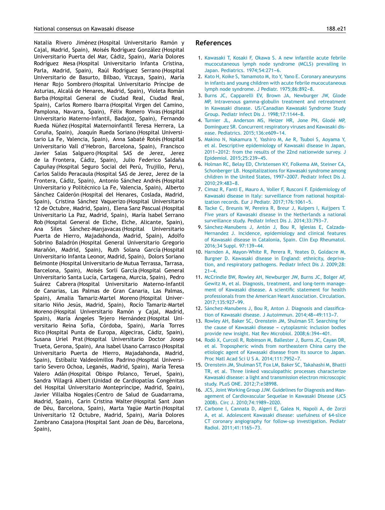<span id="page-20-0"></span>Natalia Rivero Jiménez (Hospital Universitario Ramón y Cajal, Madrid, Spain), Moisés Rodríguez González (Hospital Universitario Puerta del Mar, Cádiz, Spain), María Dolores Rodríguez Mesa (Hospital Universitario Infanta Cristina, Parla, Madrid, Spain), Raúl Rodríguez Serrano (Hospital Universitario de Basurto, Bilbao, Vizcaya, Spain), María Henar Rojo Sombrero (Hospital Universitario Príncipe de Asturias, Alcalá de Henares, Madrid, Spain), Violeta Román Barba (Hospital General de Ciudad Real, Ciudad Real, Spain), Carlos Romero Ibarra (Hospital Virgen del Camino, Pamplona, Navarra, Spain), Félix Romero Vivas (Hospital Universitario Materno-Infantil, Badajoz, Spain), Fernando Rueda Núñez (Hospital Maternoinfantil Teresa Herrera, La Coruña, Spain), Joaquín Rueda Soriano (Hospital Universitario La Fe, Valencia, Spain), Anna Sabaté Rotés (Hospital Universitario Vall d'Hebron, Barcelona, Spain), Francisco Javier Salas Salguero (Hospital SAS de Jerez, Jerez de la Frontera, Cádiz, Spain), Julio Federico Saldaña Capuñay (Hospital Seguro Social del Perú, Trujillo, Peru), Carlos Salido Peracaula (Hospital SAS de Jerez, Jerez de la Frontera, Cádiz, Spain), Antonio Sánchez Andrés (Hospital Universitario y Politécnico La Fe, Valencia, Spain), Alberto Sánchez Calderón (Hospital del Henares, Coslada, Madrid, Spain), Cristina Sánchez Vaquerizo (Hospital Universitario 12 de Octubre, Madrid, Spain), Elena Sanz Pascual(Hospital Universitario La Paz, Madrid, Spain), María Isabel Serrano Rob (Hospital General de Elche, Elche, Alicante, Spain), Ana Siles Sánchez-Manjavacas (Hospital Universitario Puerta de Hierro, Majadahonda, Madrid, Spain), Adolfo Sobrino Baladrón (Hospital General Universitario Gregorio Marañón, Madrid, Spain), Ruth Solana García (Hospital Universitario Infanta Leonor, Madrid, Spain), Dolors Soriano Belmonte (Hospital Universitario de Mutua Terrassa, Tarrasa, Barcelona, Spain), Moisés Sorlí García (Hospital General Universitario Santa Lucía, Cartagena, Murcia, Spain), Pedro Suárez Cabrera (Hospital Universitario Materno-Infantil de Canarias, Las Palmas de Gran Canaria, Las Palmas, Spain), Amalia Tamariz-Martel Moreno (Hospital Universitario Niño Jesús, Madrid, Spain), Rocío Tamariz-Martel Moreno (Hospital Universitario Ramón y Cajal, Madrid, Spain), María Ángeles Tejero Hernández (Hospital Universitario Reina Sofía, Córdoba, Spain), María Torres Rico (Hospital Punta de Europa, Algeciras, Cádiz, Spain), Susana Uriel Prat(Hospital Universitario Doctor Josep Trueta, Gerona, Spain), Ana Isabel Usano Carrasco (Hospital Universitario Puerta de Hierro, Majadahonda, Madrid, Spain), Estíbaliz Valdeolmillos Padrino (Hospital Universitario Severo Ochoa, Leganés, Madrid, Spain), María Teresa Valero Adán (Hospital Obispo Polanco, Teruel, Spain), Sandra Villagrá Albert(Unidad de Cardiopatías Congénitas del Hospital Universitario Montepríncipe, Madrid, Spain), Javier Villalba Nogales (Centro de Salud de Guadarrama, Madrid, Spain), Carin Cristina Walter(Hospital Sant Joan de Dèu, Barcelona, Spain), Marta Yagüe Martín (Hospital Universitario 12 Octubre, Madrid, Spain), María Dolores Zambrano Casajona (Hospital Sant Joan de Dèu, Barcelona, Spain),

## **References**

- 1. [Kawasaki](http://refhub.elsevier.com/S2341-2879(18)30140-6/sbref0205) [T,](http://refhub.elsevier.com/S2341-2879(18)30140-6/sbref0205) [Kosaki](http://refhub.elsevier.com/S2341-2879(18)30140-6/sbref0205) [F,](http://refhub.elsevier.com/S2341-2879(18)30140-6/sbref0205) [Okawa](http://refhub.elsevier.com/S2341-2879(18)30140-6/sbref0205) [S.](http://refhub.elsevier.com/S2341-2879(18)30140-6/sbref0205) [A](http://refhub.elsevier.com/S2341-2879(18)30140-6/sbref0205) [new](http://refhub.elsevier.com/S2341-2879(18)30140-6/sbref0205) [infantile](http://refhub.elsevier.com/S2341-2879(18)30140-6/sbref0205) [acute](http://refhub.elsevier.com/S2341-2879(18)30140-6/sbref0205) [febrile](http://refhub.elsevier.com/S2341-2879(18)30140-6/sbref0205) [mucocutaneous](http://refhub.elsevier.com/S2341-2879(18)30140-6/sbref0205) [lymph](http://refhub.elsevier.com/S2341-2879(18)30140-6/sbref0205) [node](http://refhub.elsevier.com/S2341-2879(18)30140-6/sbref0205) [syndrome](http://refhub.elsevier.com/S2341-2879(18)30140-6/sbref0205) [\(MCLS\)](http://refhub.elsevier.com/S2341-2879(18)30140-6/sbref0205) [prevailing](http://refhub.elsevier.com/S2341-2879(18)30140-6/sbref0205) [in](http://refhub.elsevier.com/S2341-2879(18)30140-6/sbref0205) [Japan.](http://refhub.elsevier.com/S2341-2879(18)30140-6/sbref0205) [Pediatrics.](http://refhub.elsevier.com/S2341-2879(18)30140-6/sbref0205) 1974:54:271-6.
- 2. [Kato](http://refhub.elsevier.com/S2341-2879(18)30140-6/sbref0210) [H,](http://refhub.elsevier.com/S2341-2879(18)30140-6/sbref0210) [Koike](http://refhub.elsevier.com/S2341-2879(18)30140-6/sbref0210) [S,](http://refhub.elsevier.com/S2341-2879(18)30140-6/sbref0210) [Yamamoto](http://refhub.elsevier.com/S2341-2879(18)30140-6/sbref0210) [M,](http://refhub.elsevier.com/S2341-2879(18)30140-6/sbref0210) [Ito](http://refhub.elsevier.com/S2341-2879(18)30140-6/sbref0210) [Y,](http://refhub.elsevier.com/S2341-2879(18)30140-6/sbref0210) [Yano](http://refhub.elsevier.com/S2341-2879(18)30140-6/sbref0210) [E.](http://refhub.elsevier.com/S2341-2879(18)30140-6/sbref0210) [Coronary](http://refhub.elsevier.com/S2341-2879(18)30140-6/sbref0210) [aneurysms](http://refhub.elsevier.com/S2341-2879(18)30140-6/sbref0210) [in](http://refhub.elsevier.com/S2341-2879(18)30140-6/sbref0210) [infants](http://refhub.elsevier.com/S2341-2879(18)30140-6/sbref0210) [and](http://refhub.elsevier.com/S2341-2879(18)30140-6/sbref0210) [young](http://refhub.elsevier.com/S2341-2879(18)30140-6/sbref0210) [children](http://refhub.elsevier.com/S2341-2879(18)30140-6/sbref0210) [with](http://refhub.elsevier.com/S2341-2879(18)30140-6/sbref0210) [acute](http://refhub.elsevier.com/S2341-2879(18)30140-6/sbref0210) [febrile](http://refhub.elsevier.com/S2341-2879(18)30140-6/sbref0210) [mucocutaneous](http://refhub.elsevier.com/S2341-2879(18)30140-6/sbref0210) [lymph](http://refhub.elsevier.com/S2341-2879(18)30140-6/sbref0210) [node](http://refhub.elsevier.com/S2341-2879(18)30140-6/sbref0210) [syndrome.](http://refhub.elsevier.com/S2341-2879(18)30140-6/sbref0210) [J](http://refhub.elsevier.com/S2341-2879(18)30140-6/sbref0210) [Pediatr.](http://refhub.elsevier.com/S2341-2879(18)30140-6/sbref0210) 1975;86:892-8.
- 3. [Burns](http://refhub.elsevier.com/S2341-2879(18)30140-6/sbref0215) [JC,](http://refhub.elsevier.com/S2341-2879(18)30140-6/sbref0215) [Capparelli](http://refhub.elsevier.com/S2341-2879(18)30140-6/sbref0215) [EV,](http://refhub.elsevier.com/S2341-2879(18)30140-6/sbref0215) [Brown](http://refhub.elsevier.com/S2341-2879(18)30140-6/sbref0215) [JA,](http://refhub.elsevier.com/S2341-2879(18)30140-6/sbref0215) [Newburger](http://refhub.elsevier.com/S2341-2879(18)30140-6/sbref0215) [JW,](http://refhub.elsevier.com/S2341-2879(18)30140-6/sbref0215) [Glode](http://refhub.elsevier.com/S2341-2879(18)30140-6/sbref0215) [MP,](http://refhub.elsevier.com/S2341-2879(18)30140-6/sbref0215) [Intravenous](http://refhub.elsevier.com/S2341-2879(18)30140-6/sbref0215) [gamma-globulin](http://refhub.elsevier.com/S2341-2879(18)30140-6/sbref0215) [treatment](http://refhub.elsevier.com/S2341-2879(18)30140-6/sbref0215) [and](http://refhub.elsevier.com/S2341-2879(18)30140-6/sbref0215) [retreatment](http://refhub.elsevier.com/S2341-2879(18)30140-6/sbref0215) [in](http://refhub.elsevier.com/S2341-2879(18)30140-6/sbref0215) [Kawasaki](http://refhub.elsevier.com/S2341-2879(18)30140-6/sbref0215) [disease.](http://refhub.elsevier.com/S2341-2879(18)30140-6/sbref0215) [US/Canadian](http://refhub.elsevier.com/S2341-2879(18)30140-6/sbref0215) [Kawasaki](http://refhub.elsevier.com/S2341-2879(18)30140-6/sbref0215) [Syndrome](http://refhub.elsevier.com/S2341-2879(18)30140-6/sbref0215) [Study](http://refhub.elsevier.com/S2341-2879(18)30140-6/sbref0215) [Group.](http://refhub.elsevier.com/S2341-2879(18)30140-6/sbref0215) [Pediatr](http://refhub.elsevier.com/S2341-2879(18)30140-6/sbref0215) [Infect](http://refhub.elsevier.com/S2341-2879(18)30140-6/sbref0215) [Dis](http://refhub.elsevier.com/S2341-2879(18)30140-6/sbref0215) [J.](http://refhub.elsevier.com/S2341-2879(18)30140-6/sbref0215) [1998;17:1144](http://refhub.elsevier.com/S2341-2879(18)30140-6/sbref0215)-[8.](http://refhub.elsevier.com/S2341-2879(18)30140-6/sbref0215)
- 4. [Turnier](http://refhub.elsevier.com/S2341-2879(18)30140-6/sbref0220) [JL,](http://refhub.elsevier.com/S2341-2879(18)30140-6/sbref0220) [Anderson](http://refhub.elsevier.com/S2341-2879(18)30140-6/sbref0220) [MS,](http://refhub.elsevier.com/S2341-2879(18)30140-6/sbref0220) [Heizer](http://refhub.elsevier.com/S2341-2879(18)30140-6/sbref0220) [HR,](http://refhub.elsevier.com/S2341-2879(18)30140-6/sbref0220) [Jone](http://refhub.elsevier.com/S2341-2879(18)30140-6/sbref0220) [PN,](http://refhub.elsevier.com/S2341-2879(18)30140-6/sbref0220) [Glodé](http://refhub.elsevier.com/S2341-2879(18)30140-6/sbref0220) [MP,](http://refhub.elsevier.com/S2341-2879(18)30140-6/sbref0220) [Dominguez](http://refhub.elsevier.com/S2341-2879(18)30140-6/sbref0220) [SR.](http://refhub.elsevier.com/S2341-2879(18)30140-6/sbref0220) [Concurrent](http://refhub.elsevier.com/S2341-2879(18)30140-6/sbref0220) [respiratory](http://refhub.elsevier.com/S2341-2879(18)30140-6/sbref0220) [viruses](http://refhub.elsevier.com/S2341-2879(18)30140-6/sbref0220) [and](http://refhub.elsevier.com/S2341-2879(18)30140-6/sbref0220) [Kawasaki](http://refhub.elsevier.com/S2341-2879(18)30140-6/sbref0220) [dis](http://refhub.elsevier.com/S2341-2879(18)30140-6/sbref0220)[ease.](http://refhub.elsevier.com/S2341-2879(18)30140-6/sbref0220) [Pediatrics.](http://refhub.elsevier.com/S2341-2879(18)30140-6/sbref0220) [2015;136:e609](http://refhub.elsevier.com/S2341-2879(18)30140-6/sbref0220)-[14.](http://refhub.elsevier.com/S2341-2879(18)30140-6/sbref0220)
- 5. [Makino](http://refhub.elsevier.com/S2341-2879(18)30140-6/sbref0225) [N,](http://refhub.elsevier.com/S2341-2879(18)30140-6/sbref0225) [Nakamura](http://refhub.elsevier.com/S2341-2879(18)30140-6/sbref0225) [Y,](http://refhub.elsevier.com/S2341-2879(18)30140-6/sbref0225) [Yashiro](http://refhub.elsevier.com/S2341-2879(18)30140-6/sbref0225) [M,](http://refhub.elsevier.com/S2341-2879(18)30140-6/sbref0225) [Ae](http://refhub.elsevier.com/S2341-2879(18)30140-6/sbref0225) [R,](http://refhub.elsevier.com/S2341-2879(18)30140-6/sbref0225) [Tsuboi](http://refhub.elsevier.com/S2341-2879(18)30140-6/sbref0225) [S,](http://refhub.elsevier.com/S2341-2879(18)30140-6/sbref0225) [Aoyama](http://refhub.elsevier.com/S2341-2879(18)30140-6/sbref0225) [Y,](http://refhub.elsevier.com/S2341-2879(18)30140-6/sbref0225) [et](http://refhub.elsevier.com/S2341-2879(18)30140-6/sbref0225) [al.](http://refhub.elsevier.com/S2341-2879(18)30140-6/sbref0225) [Descriptive](http://refhub.elsevier.com/S2341-2879(18)30140-6/sbref0225) [epidemiology](http://refhub.elsevier.com/S2341-2879(18)30140-6/sbref0225) [of](http://refhub.elsevier.com/S2341-2879(18)30140-6/sbref0225) [Kawasaki](http://refhub.elsevier.com/S2341-2879(18)30140-6/sbref0225) [disease](http://refhub.elsevier.com/S2341-2879(18)30140-6/sbref0225) [in](http://refhub.elsevier.com/S2341-2879(18)30140-6/sbref0225) [Japan,](http://refhub.elsevier.com/S2341-2879(18)30140-6/sbref0225) 2011-2012: [from](http://refhub.elsevier.com/S2341-2879(18)30140-6/sbref0225) [the](http://refhub.elsevier.com/S2341-2879(18)30140-6/sbref0225) [results](http://refhub.elsevier.com/S2341-2879(18)30140-6/sbref0225) [of](http://refhub.elsevier.com/S2341-2879(18)30140-6/sbref0225) the [22nd](http://refhub.elsevier.com/S2341-2879(18)30140-6/sbref0225) [nationwide](http://refhub.elsevier.com/S2341-2879(18)30140-6/sbref0225) [survey.](http://refhub.elsevier.com/S2341-2879(18)30140-6/sbref0225) [J](http://refhub.elsevier.com/S2341-2879(18)30140-6/sbref0225) [Epidemiol.](http://refhub.elsevier.com/S2341-2879(18)30140-6/sbref0225) 2015;25:239-45.
- 6. [Holman](http://refhub.elsevier.com/S2341-2879(18)30140-6/sbref0230) [RC,](http://refhub.elsevier.com/S2341-2879(18)30140-6/sbref0230) [Belay](http://refhub.elsevier.com/S2341-2879(18)30140-6/sbref0230) [ED,](http://refhub.elsevier.com/S2341-2879(18)30140-6/sbref0230) [Christensen](http://refhub.elsevier.com/S2341-2879(18)30140-6/sbref0230) [KY,](http://refhub.elsevier.com/S2341-2879(18)30140-6/sbref0230) [Folkema](http://refhub.elsevier.com/S2341-2879(18)30140-6/sbref0230) [AM,](http://refhub.elsevier.com/S2341-2879(18)30140-6/sbref0230) [Steiner](http://refhub.elsevier.com/S2341-2879(18)30140-6/sbref0230) [CA,](http://refhub.elsevier.com/S2341-2879(18)30140-6/sbref0230) [Schonberger](http://refhub.elsevier.com/S2341-2879(18)30140-6/sbref0230) [LB.](http://refhub.elsevier.com/S2341-2879(18)30140-6/sbref0230) [Hospitalizations](http://refhub.elsevier.com/S2341-2879(18)30140-6/sbref0230) [for](http://refhub.elsevier.com/S2341-2879(18)30140-6/sbref0230) [Kawasaki](http://refhub.elsevier.com/S2341-2879(18)30140-6/sbref0230) [syndrome](http://refhub.elsevier.com/S2341-2879(18)30140-6/sbref0230) [among](http://refhub.elsevier.com/S2341-2879(18)30140-6/sbref0230) [children](http://refhub.elsevier.com/S2341-2879(18)30140-6/sbref0230) [in](http://refhub.elsevier.com/S2341-2879(18)30140-6/sbref0230) [the](http://refhub.elsevier.com/S2341-2879(18)30140-6/sbref0230) [United](http://refhub.elsevier.com/S2341-2879(18)30140-6/sbref0230) [States,](http://refhub.elsevier.com/S2341-2879(18)30140-6/sbref0230) 1997-2007. [Pediatr](http://refhub.elsevier.com/S2341-2879(18)30140-6/sbref0230) [Infect](http://refhub.elsevier.com/S2341-2879(18)30140-6/sbref0230) [Dis](http://refhub.elsevier.com/S2341-2879(18)30140-6/sbref0230) [J.](http://refhub.elsevier.com/S2341-2879(18)30140-6/sbref0230) 2010;29:483-8.
- 7. [Cimaz](http://refhub.elsevier.com/S2341-2879(18)30140-6/sbref0235) [R,](http://refhub.elsevier.com/S2341-2879(18)30140-6/sbref0235) [Fanti](http://refhub.elsevier.com/S2341-2879(18)30140-6/sbref0235) [E,](http://refhub.elsevier.com/S2341-2879(18)30140-6/sbref0235) [Mauro](http://refhub.elsevier.com/S2341-2879(18)30140-6/sbref0235) [A,](http://refhub.elsevier.com/S2341-2879(18)30140-6/sbref0235) [Voller](http://refhub.elsevier.com/S2341-2879(18)30140-6/sbref0235) [F,](http://refhub.elsevier.com/S2341-2879(18)30140-6/sbref0235) [Rusconi](http://refhub.elsevier.com/S2341-2879(18)30140-6/sbref0235) [F.](http://refhub.elsevier.com/S2341-2879(18)30140-6/sbref0235) [Epidemiology](http://refhub.elsevier.com/S2341-2879(18)30140-6/sbref0235) [of](http://refhub.elsevier.com/S2341-2879(18)30140-6/sbref0235) [Kawasaki](http://refhub.elsevier.com/S2341-2879(18)30140-6/sbref0235) [disease](http://refhub.elsevier.com/S2341-2879(18)30140-6/sbref0235) [in](http://refhub.elsevier.com/S2341-2879(18)30140-6/sbref0235) [Italy:](http://refhub.elsevier.com/S2341-2879(18)30140-6/sbref0235) [surveillance](http://refhub.elsevier.com/S2341-2879(18)30140-6/sbref0235) [from](http://refhub.elsevier.com/S2341-2879(18)30140-6/sbref0235) [national](http://refhub.elsevier.com/S2341-2879(18)30140-6/sbref0235) [hospital](http://refhub.elsevier.com/S2341-2879(18)30140-6/sbref0235)[ization](http://refhub.elsevier.com/S2341-2879(18)30140-6/sbref0235) [records.](http://refhub.elsevier.com/S2341-2879(18)30140-6/sbref0235) [Eur](http://refhub.elsevier.com/S2341-2879(18)30140-6/sbref0235) [J](http://refhub.elsevier.com/S2341-2879(18)30140-6/sbref0235) [Pediatr.](http://refhub.elsevier.com/S2341-2879(18)30140-6/sbref0235) 2017;176:1061-5.
- 8. [Tacke](http://refhub.elsevier.com/S2341-2879(18)30140-6/sbref0240) [C,](http://refhub.elsevier.com/S2341-2879(18)30140-6/sbref0240) [Breunis](http://refhub.elsevier.com/S2341-2879(18)30140-6/sbref0240) [W,](http://refhub.elsevier.com/S2341-2879(18)30140-6/sbref0240) [Pereira](http://refhub.elsevier.com/S2341-2879(18)30140-6/sbref0240) [R,](http://refhub.elsevier.com/S2341-2879(18)30140-6/sbref0240) [Breur](http://refhub.elsevier.com/S2341-2879(18)30140-6/sbref0240) [J,](http://refhub.elsevier.com/S2341-2879(18)30140-6/sbref0240) [Kuipers](http://refhub.elsevier.com/S2341-2879(18)30140-6/sbref0240) [I,](http://refhub.elsevier.com/S2341-2879(18)30140-6/sbref0240) [Kuijpers](http://refhub.elsevier.com/S2341-2879(18)30140-6/sbref0240) [T.](http://refhub.elsevier.com/S2341-2879(18)30140-6/sbref0240) [Five](http://refhub.elsevier.com/S2341-2879(18)30140-6/sbref0240) [years](http://refhub.elsevier.com/S2341-2879(18)30140-6/sbref0240) [of](http://refhub.elsevier.com/S2341-2879(18)30140-6/sbref0240) [Kawasaki](http://refhub.elsevier.com/S2341-2879(18)30140-6/sbref0240) [disease](http://refhub.elsevier.com/S2341-2879(18)30140-6/sbref0240) [in](http://refhub.elsevier.com/S2341-2879(18)30140-6/sbref0240) [the](http://refhub.elsevier.com/S2341-2879(18)30140-6/sbref0240) [Netherlands](http://refhub.elsevier.com/S2341-2879(18)30140-6/sbref0240) [a](http://refhub.elsevier.com/S2341-2879(18)30140-6/sbref0240) [national](http://refhub.elsevier.com/S2341-2879(18)30140-6/sbref0240) [surveillance](http://refhub.elsevier.com/S2341-2879(18)30140-6/sbref0240) [study.](http://refhub.elsevier.com/S2341-2879(18)30140-6/sbref0240) [Pediatr](http://refhub.elsevier.com/S2341-2879(18)30140-6/sbref0240) [Infect](http://refhub.elsevier.com/S2341-2879(18)30140-6/sbref0240) [Dis](http://refhub.elsevier.com/S2341-2879(18)30140-6/sbref0240) [J.](http://refhub.elsevier.com/S2341-2879(18)30140-6/sbref0240) 2014;33:793-7.
- 9. [Sánchez-Manubens](http://refhub.elsevier.com/S2341-2879(18)30140-6/sbref0245) [J,](http://refhub.elsevier.com/S2341-2879(18)30140-6/sbref0245) [Antón](http://refhub.elsevier.com/S2341-2879(18)30140-6/sbref0245) [J,](http://refhub.elsevier.com/S2341-2879(18)30140-6/sbref0245) [Bou](http://refhub.elsevier.com/S2341-2879(18)30140-6/sbref0245) [R,](http://refhub.elsevier.com/S2341-2879(18)30140-6/sbref0245) [Iglesias](http://refhub.elsevier.com/S2341-2879(18)30140-6/sbref0245) [E,](http://refhub.elsevier.com/S2341-2879(18)30140-6/sbref0245) [Calzada-](http://refhub.elsevier.com/S2341-2879(18)30140-6/sbref0245)[Hernandez](http://refhub.elsevier.com/S2341-2879(18)30140-6/sbref0245) [J.](http://refhub.elsevier.com/S2341-2879(18)30140-6/sbref0245) [Incidence,](http://refhub.elsevier.com/S2341-2879(18)30140-6/sbref0245) [epidemiology](http://refhub.elsevier.com/S2341-2879(18)30140-6/sbref0245) [and](http://refhub.elsevier.com/S2341-2879(18)30140-6/sbref0245) [clinical](http://refhub.elsevier.com/S2341-2879(18)30140-6/sbref0245) [features](http://refhub.elsevier.com/S2341-2879(18)30140-6/sbref0245) [of](http://refhub.elsevier.com/S2341-2879(18)30140-6/sbref0245) [Kawasaki](http://refhub.elsevier.com/S2341-2879(18)30140-6/sbref0245) [disease](http://refhub.elsevier.com/S2341-2879(18)30140-6/sbref0245) [in](http://refhub.elsevier.com/S2341-2879(18)30140-6/sbref0245) [Catalonia,](http://refhub.elsevier.com/S2341-2879(18)30140-6/sbref0245) [Spain.](http://refhub.elsevier.com/S2341-2879(18)30140-6/sbref0245) [Clin](http://refhub.elsevier.com/S2341-2879(18)30140-6/sbref0245) [Exp](http://refhub.elsevier.com/S2341-2879(18)30140-6/sbref0245) [Rheumatol.](http://refhub.elsevier.com/S2341-2879(18)30140-6/sbref0245) [2016;34](http://refhub.elsevier.com/S2341-2879(18)30140-6/sbref0245) [Suppl.](http://refhub.elsevier.com/S2341-2879(18)30140-6/sbref0245) 97:139-44.
- 10. [Harnden](http://refhub.elsevier.com/S2341-2879(18)30140-6/sbref0250) [A,](http://refhub.elsevier.com/S2341-2879(18)30140-6/sbref0250) [Mayon-White](http://refhub.elsevier.com/S2341-2879(18)30140-6/sbref0250) [R,](http://refhub.elsevier.com/S2341-2879(18)30140-6/sbref0250) [Perera](http://refhub.elsevier.com/S2341-2879(18)30140-6/sbref0250) [R,](http://refhub.elsevier.com/S2341-2879(18)30140-6/sbref0250) [Yeates](http://refhub.elsevier.com/S2341-2879(18)30140-6/sbref0250) [D,](http://refhub.elsevier.com/S2341-2879(18)30140-6/sbref0250) [Goldacre](http://refhub.elsevier.com/S2341-2879(18)30140-6/sbref0250) [M,](http://refhub.elsevier.com/S2341-2879(18)30140-6/sbref0250) [Burgner](http://refhub.elsevier.com/S2341-2879(18)30140-6/sbref0250) [D.](http://refhub.elsevier.com/S2341-2879(18)30140-6/sbref0250) [Kawasaki](http://refhub.elsevier.com/S2341-2879(18)30140-6/sbref0250) [disease](http://refhub.elsevier.com/S2341-2879(18)30140-6/sbref0250) [in](http://refhub.elsevier.com/S2341-2879(18)30140-6/sbref0250) [England:](http://refhub.elsevier.com/S2341-2879(18)30140-6/sbref0250) [ethnicity,](http://refhub.elsevier.com/S2341-2879(18)30140-6/sbref0250) [depriva](http://refhub.elsevier.com/S2341-2879(18)30140-6/sbref0250)[tion,](http://refhub.elsevier.com/S2341-2879(18)30140-6/sbref0250) [and](http://refhub.elsevier.com/S2341-2879(18)30140-6/sbref0250) [respiratory](http://refhub.elsevier.com/S2341-2879(18)30140-6/sbref0250) [pathogens.](http://refhub.elsevier.com/S2341-2879(18)30140-6/sbref0250) [Pediatr](http://refhub.elsevier.com/S2341-2879(18)30140-6/sbref0250) [Infect](http://refhub.elsevier.com/S2341-2879(18)30140-6/sbref0250) [Dis](http://refhub.elsevier.com/S2341-2879(18)30140-6/sbref0250) [J.](http://refhub.elsevier.com/S2341-2879(18)30140-6/sbref0250) [2009;28:](http://refhub.elsevier.com/S2341-2879(18)30140-6/sbref0250)  $21 - 4.$  $21 - 4.$
- 11. [McCrindle](http://refhub.elsevier.com/S2341-2879(18)30140-6/sbref0255) [BW,](http://refhub.elsevier.com/S2341-2879(18)30140-6/sbref0255) [Rowley](http://refhub.elsevier.com/S2341-2879(18)30140-6/sbref0255) [AH,](http://refhub.elsevier.com/S2341-2879(18)30140-6/sbref0255) [Newburger](http://refhub.elsevier.com/S2341-2879(18)30140-6/sbref0255) [JW,](http://refhub.elsevier.com/S2341-2879(18)30140-6/sbref0255) [Burns](http://refhub.elsevier.com/S2341-2879(18)30140-6/sbref0255) [JC,](http://refhub.elsevier.com/S2341-2879(18)30140-6/sbref0255) [Bolger](http://refhub.elsevier.com/S2341-2879(18)30140-6/sbref0255) [AF,](http://refhub.elsevier.com/S2341-2879(18)30140-6/sbref0255) [Gewitz](http://refhub.elsevier.com/S2341-2879(18)30140-6/sbref0255) [M,](http://refhub.elsevier.com/S2341-2879(18)30140-6/sbref0255) [et](http://refhub.elsevier.com/S2341-2879(18)30140-6/sbref0255) [al.](http://refhub.elsevier.com/S2341-2879(18)30140-6/sbref0255) [Diagnosis,](http://refhub.elsevier.com/S2341-2879(18)30140-6/sbref0255) [treatment,](http://refhub.elsevier.com/S2341-2879(18)30140-6/sbref0255) [and](http://refhub.elsevier.com/S2341-2879(18)30140-6/sbref0255) [long-term](http://refhub.elsevier.com/S2341-2879(18)30140-6/sbref0255) [manage](http://refhub.elsevier.com/S2341-2879(18)30140-6/sbref0255)[ment](http://refhub.elsevier.com/S2341-2879(18)30140-6/sbref0255) [of](http://refhub.elsevier.com/S2341-2879(18)30140-6/sbref0255) [Kawasaki](http://refhub.elsevier.com/S2341-2879(18)30140-6/sbref0255) [disease.](http://refhub.elsevier.com/S2341-2879(18)30140-6/sbref0255) [A](http://refhub.elsevier.com/S2341-2879(18)30140-6/sbref0255) [scientific](http://refhub.elsevier.com/S2341-2879(18)30140-6/sbref0255) [statement](http://refhub.elsevier.com/S2341-2879(18)30140-6/sbref0255) [for](http://refhub.elsevier.com/S2341-2879(18)30140-6/sbref0255) [health](http://refhub.elsevier.com/S2341-2879(18)30140-6/sbref0255) [professionals](http://refhub.elsevier.com/S2341-2879(18)30140-6/sbref0255) [from](http://refhub.elsevier.com/S2341-2879(18)30140-6/sbref0255) [the](http://refhub.elsevier.com/S2341-2879(18)30140-6/sbref0255) [American](http://refhub.elsevier.com/S2341-2879(18)30140-6/sbref0255) [Heart](http://refhub.elsevier.com/S2341-2879(18)30140-6/sbref0255) [Association.](http://refhub.elsevier.com/S2341-2879(18)30140-6/sbref0255) [Circulation.](http://refhub.elsevier.com/S2341-2879(18)30140-6/sbref0255) [2017;135:927](http://refhub.elsevier.com/S2341-2879(18)30140-6/sbref0255)-[99.](http://refhub.elsevier.com/S2341-2879(18)30140-6/sbref0255)
- 12. [Sánchez-Manubens](http://refhub.elsevier.com/S2341-2879(18)30140-6/sbref0260) [J,](http://refhub.elsevier.com/S2341-2879(18)30140-6/sbref0260) [Bou](http://refhub.elsevier.com/S2341-2879(18)30140-6/sbref0260) [R,](http://refhub.elsevier.com/S2341-2879(18)30140-6/sbref0260) [Anton](http://refhub.elsevier.com/S2341-2879(18)30140-6/sbref0260) [J.](http://refhub.elsevier.com/S2341-2879(18)30140-6/sbref0260) [Diagnosis](http://refhub.elsevier.com/S2341-2879(18)30140-6/sbref0260) [and](http://refhub.elsevier.com/S2341-2879(18)30140-6/sbref0260) [classifica](http://refhub.elsevier.com/S2341-2879(18)30140-6/sbref0260)[tion](http://refhub.elsevier.com/S2341-2879(18)30140-6/sbref0260) [of](http://refhub.elsevier.com/S2341-2879(18)30140-6/sbref0260) [Kawasaki](http://refhub.elsevier.com/S2341-2879(18)30140-6/sbref0260) [disease.](http://refhub.elsevier.com/S2341-2879(18)30140-6/sbref0260) [J](http://refhub.elsevier.com/S2341-2879(18)30140-6/sbref0260) [Autoimmun.](http://refhub.elsevier.com/S2341-2879(18)30140-6/sbref0260) 2014;48-49:113-7.
- 13. [Rowley](http://refhub.elsevier.com/S2341-2879(18)30140-6/sbref0265) [AH,](http://refhub.elsevier.com/S2341-2879(18)30140-6/sbref0265) [Baker](http://refhub.elsevier.com/S2341-2879(18)30140-6/sbref0265) [SC,](http://refhub.elsevier.com/S2341-2879(18)30140-6/sbref0265) [Orenstein](http://refhub.elsevier.com/S2341-2879(18)30140-6/sbref0265) [JM,](http://refhub.elsevier.com/S2341-2879(18)30140-6/sbref0265) [Shulman](http://refhub.elsevier.com/S2341-2879(18)30140-6/sbref0265) [ST.](http://refhub.elsevier.com/S2341-2879(18)30140-6/sbref0265) [Searching](http://refhub.elsevier.com/S2341-2879(18)30140-6/sbref0265) [for](http://refhub.elsevier.com/S2341-2879(18)30140-6/sbref0265) [the](http://refhub.elsevier.com/S2341-2879(18)30140-6/sbref0265) [cause](http://refhub.elsevier.com/S2341-2879(18)30140-6/sbref0265) [of](http://refhub.elsevier.com/S2341-2879(18)30140-6/sbref0265) [Kawasaki](http://refhub.elsevier.com/S2341-2879(18)30140-6/sbref0265) [disease](http://refhub.elsevier.com/S2341-2879(18)30140-6/sbref0265) - [cytoplasmic](http://refhub.elsevier.com/S2341-2879(18)30140-6/sbref0265) [inclusion](http://refhub.elsevier.com/S2341-2879(18)30140-6/sbref0265) [bodies](http://refhub.elsevier.com/S2341-2879(18)30140-6/sbref0265) [provide](http://refhub.elsevier.com/S2341-2879(18)30140-6/sbref0265) [new](http://refhub.elsevier.com/S2341-2879(18)30140-6/sbref0265) [insight.](http://refhub.elsevier.com/S2341-2879(18)30140-6/sbref0265) [Nat](http://refhub.elsevier.com/S2341-2879(18)30140-6/sbref0265) [Rev](http://refhub.elsevier.com/S2341-2879(18)30140-6/sbref0265) [Microbiol.](http://refhub.elsevier.com/S2341-2879(18)30140-6/sbref0265) 2008;6:394-401.
- 14. [Rodó](http://refhub.elsevier.com/S2341-2879(18)30140-6/sbref0270) [X,](http://refhub.elsevier.com/S2341-2879(18)30140-6/sbref0270) [Curcoll](http://refhub.elsevier.com/S2341-2879(18)30140-6/sbref0270) [R,](http://refhub.elsevier.com/S2341-2879(18)30140-6/sbref0270) [Robinson](http://refhub.elsevier.com/S2341-2879(18)30140-6/sbref0270) [M,](http://refhub.elsevier.com/S2341-2879(18)30140-6/sbref0270) [Ballester](http://refhub.elsevier.com/S2341-2879(18)30140-6/sbref0270) [J,](http://refhub.elsevier.com/S2341-2879(18)30140-6/sbref0270) [Burns](http://refhub.elsevier.com/S2341-2879(18)30140-6/sbref0270) [JC,](http://refhub.elsevier.com/S2341-2879(18)30140-6/sbref0270) [Cayan](http://refhub.elsevier.com/S2341-2879(18)30140-6/sbref0270) [DR,](http://refhub.elsevier.com/S2341-2879(18)30140-6/sbref0270) [et](http://refhub.elsevier.com/S2341-2879(18)30140-6/sbref0270) [al.](http://refhub.elsevier.com/S2341-2879(18)30140-6/sbref0270) [Tropospheric](http://refhub.elsevier.com/S2341-2879(18)30140-6/sbref0270) [winds](http://refhub.elsevier.com/S2341-2879(18)30140-6/sbref0270) [from](http://refhub.elsevier.com/S2341-2879(18)30140-6/sbref0270) [northeastern](http://refhub.elsevier.com/S2341-2879(18)30140-6/sbref0270) [China](http://refhub.elsevier.com/S2341-2879(18)30140-6/sbref0270) [carry](http://refhub.elsevier.com/S2341-2879(18)30140-6/sbref0270) [the](http://refhub.elsevier.com/S2341-2879(18)30140-6/sbref0270) [etiologic](http://refhub.elsevier.com/S2341-2879(18)30140-6/sbref0270) [agent](http://refhub.elsevier.com/S2341-2879(18)30140-6/sbref0270) [of](http://refhub.elsevier.com/S2341-2879(18)30140-6/sbref0270) [Kawasaki](http://refhub.elsevier.com/S2341-2879(18)30140-6/sbref0270) [disease](http://refhub.elsevier.com/S2341-2879(18)30140-6/sbref0270) [from](http://refhub.elsevier.com/S2341-2879(18)30140-6/sbref0270) [its](http://refhub.elsevier.com/S2341-2879(18)30140-6/sbref0270) [source](http://refhub.elsevier.com/S2341-2879(18)30140-6/sbref0270) [to](http://refhub.elsevier.com/S2341-2879(18)30140-6/sbref0270) [Japan.](http://refhub.elsevier.com/S2341-2879(18)30140-6/sbref0270) [Proc](http://refhub.elsevier.com/S2341-2879(18)30140-6/sbref0270) [Natl](http://refhub.elsevier.com/S2341-2879(18)30140-6/sbref0270) [Acad](http://refhub.elsevier.com/S2341-2879(18)30140-6/sbref0270) [Sci](http://refhub.elsevier.com/S2341-2879(18)30140-6/sbref0270) [U](http://refhub.elsevier.com/S2341-2879(18)30140-6/sbref0270) [S](http://refhub.elsevier.com/S2341-2879(18)30140-6/sbref0270) [A.](http://refhub.elsevier.com/S2341-2879(18)30140-6/sbref0270) 2014;111:7952-7.
- 15. [Orenstein](http://refhub.elsevier.com/S2341-2879(18)30140-6/sbref0275) [JM,](http://refhub.elsevier.com/S2341-2879(18)30140-6/sbref0275) [Shulman](http://refhub.elsevier.com/S2341-2879(18)30140-6/sbref0275) [ST,](http://refhub.elsevier.com/S2341-2879(18)30140-6/sbref0275) [Fox](http://refhub.elsevier.com/S2341-2879(18)30140-6/sbref0275) [LM,](http://refhub.elsevier.com/S2341-2879(18)30140-6/sbref0275) [Baker](http://refhub.elsevier.com/S2341-2879(18)30140-6/sbref0275) [SC,](http://refhub.elsevier.com/S2341-2879(18)30140-6/sbref0275) [Takahashi](http://refhub.elsevier.com/S2341-2879(18)30140-6/sbref0275) [M,](http://refhub.elsevier.com/S2341-2879(18)30140-6/sbref0275) [Bhatti](http://refhub.elsevier.com/S2341-2879(18)30140-6/sbref0275) [TR,](http://refhub.elsevier.com/S2341-2879(18)30140-6/sbref0275) [et](http://refhub.elsevier.com/S2341-2879(18)30140-6/sbref0275) [al.](http://refhub.elsevier.com/S2341-2879(18)30140-6/sbref0275) [Three](http://refhub.elsevier.com/S2341-2879(18)30140-6/sbref0275) [linked](http://refhub.elsevier.com/S2341-2879(18)30140-6/sbref0275) [vasculopathic](http://refhub.elsevier.com/S2341-2879(18)30140-6/sbref0275) [processes](http://refhub.elsevier.com/S2341-2879(18)30140-6/sbref0275) [characterize](http://refhub.elsevier.com/S2341-2879(18)30140-6/sbref0275) [Kawasaki](http://refhub.elsevier.com/S2341-2879(18)30140-6/sbref0275) [disease:](http://refhub.elsevier.com/S2341-2879(18)30140-6/sbref0275) [a](http://refhub.elsevier.com/S2341-2879(18)30140-6/sbref0275) [light](http://refhub.elsevier.com/S2341-2879(18)30140-6/sbref0275) [and](http://refhub.elsevier.com/S2341-2879(18)30140-6/sbref0275) [transmission](http://refhub.elsevier.com/S2341-2879(18)30140-6/sbref0275) [electron](http://refhub.elsevier.com/S2341-2879(18)30140-6/sbref0275) [microscopic](http://refhub.elsevier.com/S2341-2879(18)30140-6/sbref0275) [study.](http://refhub.elsevier.com/S2341-2879(18)30140-6/sbref0275) [PLoS](http://refhub.elsevier.com/S2341-2879(18)30140-6/sbref0275) [ONE.](http://refhub.elsevier.com/S2341-2879(18)30140-6/sbref0275) [2012;7:e38998.](http://refhub.elsevier.com/S2341-2879(18)30140-6/sbref0275)
- 16. [JCS,](http://refhub.elsevier.com/S2341-2879(18)30140-6/sbref0280) [Joint](http://refhub.elsevier.com/S2341-2879(18)30140-6/sbref0280) [Working](http://refhub.elsevier.com/S2341-2879(18)30140-6/sbref0280) [Group](http://refhub.elsevier.com/S2341-2879(18)30140-6/sbref0280) [JJW.](http://refhub.elsevier.com/S2341-2879(18)30140-6/sbref0280) [Guidelines](http://refhub.elsevier.com/S2341-2879(18)30140-6/sbref0280) [for](http://refhub.elsevier.com/S2341-2879(18)30140-6/sbref0280) [Diagnosis](http://refhub.elsevier.com/S2341-2879(18)30140-6/sbref0280) [and](http://refhub.elsevier.com/S2341-2879(18)30140-6/sbref0280) [Man](http://refhub.elsevier.com/S2341-2879(18)30140-6/sbref0280)[agement](http://refhub.elsevier.com/S2341-2879(18)30140-6/sbref0280) [of](http://refhub.elsevier.com/S2341-2879(18)30140-6/sbref0280) [Cardiovascular](http://refhub.elsevier.com/S2341-2879(18)30140-6/sbref0280) [Sequelae](http://refhub.elsevier.com/S2341-2879(18)30140-6/sbref0280) [in](http://refhub.elsevier.com/S2341-2879(18)30140-6/sbref0280) [Kawasaki](http://refhub.elsevier.com/S2341-2879(18)30140-6/sbref0280) [Disease](http://refhub.elsevier.com/S2341-2879(18)30140-6/sbref0280) [\(JCS](http://refhub.elsevier.com/S2341-2879(18)30140-6/sbref0280) [2008\).](http://refhub.elsevier.com/S2341-2879(18)30140-6/sbref0280) [Circ](http://refhub.elsevier.com/S2341-2879(18)30140-6/sbref0280) [J.](http://refhub.elsevier.com/S2341-2879(18)30140-6/sbref0280) 2010;74:1989-2020.
- 17. [Carbone](http://refhub.elsevier.com/S2341-2879(18)30140-6/sbref0285) [I,](http://refhub.elsevier.com/S2341-2879(18)30140-6/sbref0285) [Cannata](http://refhub.elsevier.com/S2341-2879(18)30140-6/sbref0285) [D,](http://refhub.elsevier.com/S2341-2879(18)30140-6/sbref0285) [Algeri](http://refhub.elsevier.com/S2341-2879(18)30140-6/sbref0285) [E,](http://refhub.elsevier.com/S2341-2879(18)30140-6/sbref0285) [Galea](http://refhub.elsevier.com/S2341-2879(18)30140-6/sbref0285) [N,](http://refhub.elsevier.com/S2341-2879(18)30140-6/sbref0285) [Napoli](http://refhub.elsevier.com/S2341-2879(18)30140-6/sbref0285) [A,](http://refhub.elsevier.com/S2341-2879(18)30140-6/sbref0285) [de](http://refhub.elsevier.com/S2341-2879(18)30140-6/sbref0285) [Zorzi](http://refhub.elsevier.com/S2341-2879(18)30140-6/sbref0285) [A,](http://refhub.elsevier.com/S2341-2879(18)30140-6/sbref0285) [et](http://refhub.elsevier.com/S2341-2879(18)30140-6/sbref0285) [al.](http://refhub.elsevier.com/S2341-2879(18)30140-6/sbref0285) [Adolescent](http://refhub.elsevier.com/S2341-2879(18)30140-6/sbref0285) [Kawasaki](http://refhub.elsevier.com/S2341-2879(18)30140-6/sbref0285) [disease:](http://refhub.elsevier.com/S2341-2879(18)30140-6/sbref0285) [usefulness](http://refhub.elsevier.com/S2341-2879(18)30140-6/sbref0285) [of](http://refhub.elsevier.com/S2341-2879(18)30140-6/sbref0285) [64-slice](http://refhub.elsevier.com/S2341-2879(18)30140-6/sbref0285) [CT](http://refhub.elsevier.com/S2341-2879(18)30140-6/sbref0285) [coronary](http://refhub.elsevier.com/S2341-2879(18)30140-6/sbref0285) [angiography](http://refhub.elsevier.com/S2341-2879(18)30140-6/sbref0285) [for](http://refhub.elsevier.com/S2341-2879(18)30140-6/sbref0285) [follow-up](http://refhub.elsevier.com/S2341-2879(18)30140-6/sbref0285) [investigation.](http://refhub.elsevier.com/S2341-2879(18)30140-6/sbref0285) [Pediatr](http://refhub.elsevier.com/S2341-2879(18)30140-6/sbref0285) [Radiol.](http://refhub.elsevier.com/S2341-2879(18)30140-6/sbref0285) 2011;41:1165-73.